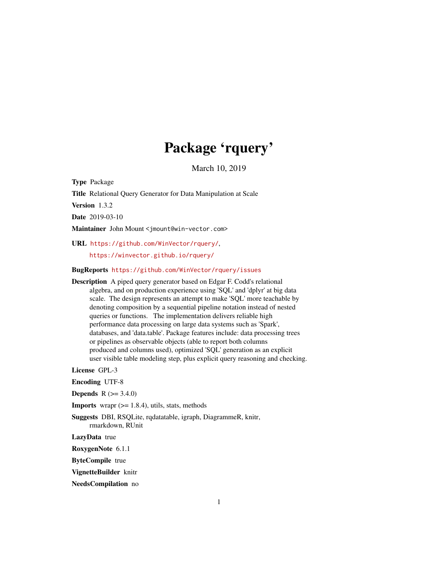# Package 'rquery'

March 10, 2019

Type Package

Title Relational Query Generator for Data Manipulation at Scale

Version 1.3.2

Date 2019-03-10

Maintainer John Mount <jmount@win-vector.com>

URL <https://github.com/WinVector/rquery/>, <https://winvector.github.io/rquery/>

#### BugReports <https://github.com/WinVector/rquery/issues>

Description A piped query generator based on Edgar F. Codd's relational algebra, and on production experience using 'SQL' and 'dplyr' at big data scale. The design represents an attempt to make 'SQL' more teachable by denoting composition by a sequential pipeline notation instead of nested queries or functions. The implementation delivers reliable high performance data processing on large data systems such as 'Spark', databases, and 'data.table'. Package features include: data processing trees or pipelines as observable objects (able to report both columns produced and columns used), optimized 'SQL' generation as an explicit user visible table modeling step, plus explicit query reasoning and checking.

License GPL-3

Encoding UTF-8

**Depends**  $R$  ( $> = 3.4.0$ )

**Imports** wrapr  $(>= 1.8.4)$ , utils, stats, methods

Suggests DBI, RSQLite, rqdatatable, igraph, DiagrammeR, knitr, rmarkdown, RUnit

LazyData true

RoxygenNote 6.1.1

ByteCompile true

VignetteBuilder knitr

NeedsCompilation no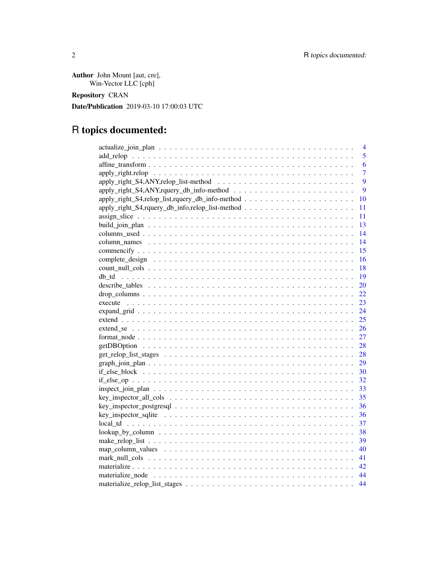Author John Mount [aut, cre], Win-Vector LLC [cph]

Repository CRAN

Date/Publication 2019-03-10 17:00:03 UTC

# R topics documented:

|    | 4              |
|----|----------------|
|    | 5              |
|    | 6              |
|    | $\overline{7}$ |
|    | 9              |
|    | 9              |
| 10 |                |
| 11 |                |
| 11 |                |
| 13 |                |
| 14 |                |
| 14 |                |
| 15 |                |
| 16 |                |
| 18 |                |
| 19 |                |
| 20 |                |
| 22 |                |
| 23 |                |
| 24 |                |
| 25 |                |
| 26 |                |
| 27 |                |
| 28 |                |
| 28 |                |
| 29 |                |
|    |                |
|    |                |
| 33 |                |
| 35 |                |
| 36 |                |
| 36 |                |
| 37 |                |
| 38 |                |
| 39 |                |
| 40 |                |
| 41 |                |
|    |                |
|    |                |
| 44 |                |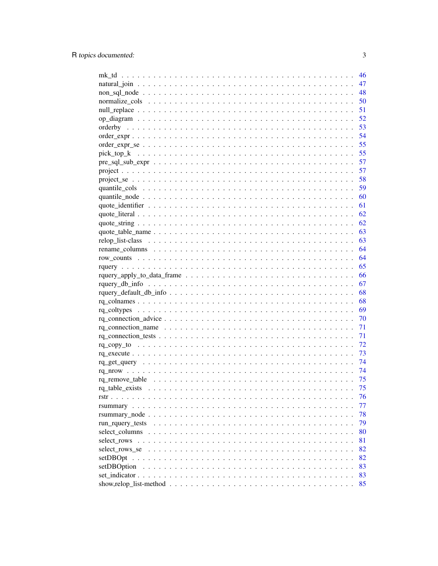|                                                                                                                      | 46  |
|----------------------------------------------------------------------------------------------------------------------|-----|
|                                                                                                                      | 47  |
|                                                                                                                      | 48  |
|                                                                                                                      | 50  |
|                                                                                                                      | 51  |
|                                                                                                                      | 52  |
|                                                                                                                      | 53  |
|                                                                                                                      | 54  |
|                                                                                                                      | 55  |
|                                                                                                                      |     |
|                                                                                                                      |     |
|                                                                                                                      |     |
|                                                                                                                      |     |
|                                                                                                                      |     |
|                                                                                                                      |     |
|                                                                                                                      |     |
|                                                                                                                      |     |
|                                                                                                                      |     |
|                                                                                                                      |     |
|                                                                                                                      |     |
|                                                                                                                      |     |
|                                                                                                                      |     |
|                                                                                                                      |     |
|                                                                                                                      |     |
|                                                                                                                      |     |
|                                                                                                                      |     |
|                                                                                                                      |     |
|                                                                                                                      |     |
|                                                                                                                      | 70  |
|                                                                                                                      | 71  |
|                                                                                                                      | 71  |
|                                                                                                                      | 72  |
|                                                                                                                      | 73  |
|                                                                                                                      | 74  |
|                                                                                                                      | -74 |
|                                                                                                                      | 75  |
|                                                                                                                      | 75  |
|                                                                                                                      | 76  |
|                                                                                                                      | 77  |
|                                                                                                                      | 78  |
|                                                                                                                      | 79  |
|                                                                                                                      | 80  |
|                                                                                                                      | 81  |
| select rows se                                                                                                       | 82  |
|                                                                                                                      | 82  |
| setDBOption                                                                                                          | 83  |
|                                                                                                                      | 83  |
| show, relop_list-method $\ldots \ldots \ldots \ldots \ldots \ldots \ldots \ldots \ldots \ldots \ldots \ldots \ldots$ | 85  |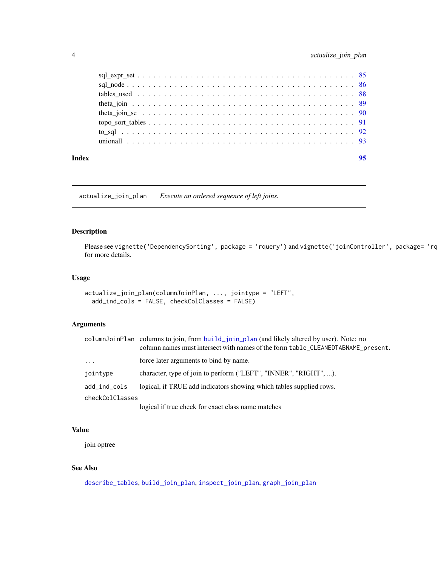<span id="page-3-0"></span>

| Index | 95 |
|-------|----|
|       |    |
|       |    |
|       |    |
|       |    |
|       |    |
|       |    |
|       |    |
|       |    |

<span id="page-3-1"></span>actualize\_join\_plan *Execute an ordered sequence of left joins.*

# Description

Please see vignette('DependencySorting', package = 'rquery') and vignette('joinController', package= 'rq for more details.

# Usage

```
actualize_join_plan(columnJoinPlan, ..., jointype = "LEFT",
  add_ind_cols = FALSE, checkColClasses = FALSE)
```
# Arguments

|                 | columnJoinPlan columns to join, from build_join_plan (and likely altered by user). Note: no<br>column names must intersect with names of the form table_CLEANEDTABNAME_present. |
|-----------------|---------------------------------------------------------------------------------------------------------------------------------------------------------------------------------|
| $\cdots$        | force later arguments to bind by name.                                                                                                                                          |
| jointype        | character, type of join to perform ("LEFT", "INNER", "RIGHT", ).                                                                                                                |
| add_ind_cols    | logical, if TRUE add indicators showing which tables supplied rows.                                                                                                             |
| checkColClasses |                                                                                                                                                                                 |
|                 | logical if two chools for exect close name metaboo                                                                                                                              |

logical if true check for exact class name matches

# Value

join optree

# See Also

[describe\\_tables](#page-19-1), [build\\_join\\_plan](#page-12-1), [inspect\\_join\\_plan](#page-32-1), [graph\\_join\\_plan](#page-28-1)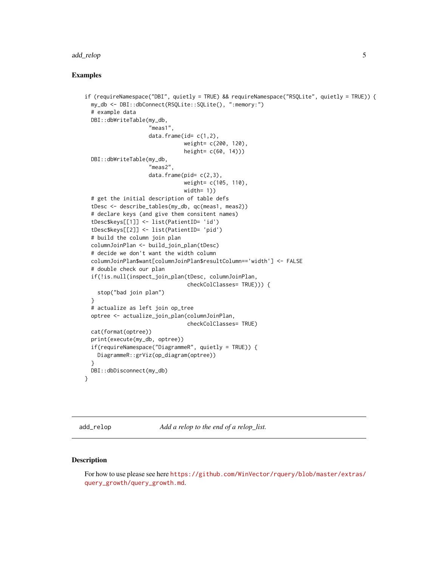#### <span id="page-4-0"></span>add\_relop 55 to 55 and 55 and 55 and 55 and 55 and 55 and 55 and 55 and 55 and 55 and 55 and 55 and 55 and 55 and 55 and 55 and 55 and 55 and 55 and 55 and 55 and 55 and 55 and 55 and 55 and 55 and 55 and 55 and 55 and 55

# Examples

```
if (requireNamespace("DBI", quietly = TRUE) && requireNamespace("RSQLite", quietly = TRUE)) {
 my_db <- DBI::dbConnect(RSQLite::SQLite(), ":memory:")
 # example data
 DBI::dbWriteTable(my_db,
                    "meas1",
                    data.frame(id = c(1, 2)),
                               weight= c(200, 120),
                               height= c(60, 14)))
 DBI::dbWriteTable(my_db,
                    "meas2",
                    data.frame(pid= c(2,3),
                               weight= c(105, 110),
                               width= 1)# get the initial description of table defs
 tDesc <- describe_tables(my_db, qc(meas1, meas2))
 # declare keys (and give them consitent names)
 tDesc$keys[[1]] <- list(PatientID= 'id')
 tDesc$keys[[2]] <- list(PatientID= 'pid')
 # build the column join plan
 columnJoinPlan <- build_join_plan(tDesc)
 # decide we don't want the width column
 columnJoinPlan$want[columnJoinPlan$resultColumn=='width'] <- FALSE
 # double check our plan
 if(!is.null(inspect_join_plan(tDesc, columnJoinPlan,
                                checkColClasses= TRUE))) {
   stop("bad join plan")
 }
 # actualize as left join op_tree
 optree <- actualize_join_plan(columnJoinPlan,
                                checkColClasses= TRUE)
 cat(format(optree))
 print(execute(my_db, optree))
 if(requireNamespace("DiagrammeR", quietly = TRUE)) {
   DiagrammeR::grViz(op_diagram(optree))
  }
 DBI::dbDisconnect(my_db)
}
```
<span id="page-4-1"></span>add\_relop *Add a relop to the end of a relop\_list.*

#### Description

For how to use please see here [https://github.com/WinVector/rquery/blob/master/extras/](https://github.com/WinVector/rquery/blob/master/extras/query_growth/query_growth.md) [query\\_growth/query\\_growth.md](https://github.com/WinVector/rquery/blob/master/extras/query_growth/query_growth.md).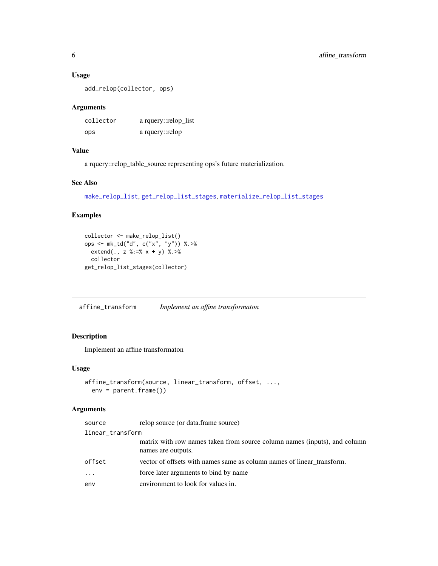# Usage

add\_relop(collector, ops)

# Arguments

| collector | a rquery::relop_list |
|-----------|----------------------|
| ops       | a rquery::relop      |

# Value

a rquery::relop\_table\_source representing ops's future materialization.

#### See Also

[make\\_relop\\_list](#page-38-1), [get\\_relop\\_list\\_stages](#page-27-1), [materialize\\_relop\\_list\\_stages](#page-43-1)

# Examples

```
collector <- make_relop_list()
ops <- mk_td("d", c("x", "y")) %.>%
 extend(., z %:=% x + y) %.>%
  collector
get_relop_list_stages(collector)
```
affine\_transform *Implement an affine transformaton*

# Description

Implement an affine transformaton

# Usage

```
affine_transform(source, linear_transform, offset, ...,
 env = parent.frame())
```
# Arguments

| source           | relop source (or data.frame source)                                                             |
|------------------|-------------------------------------------------------------------------------------------------|
| linear_transform |                                                                                                 |
|                  | matrix with row names taken from source column names (inputs), and column<br>names are outputs. |
| offset           | vector of offsets with names same as column names of linear transform.                          |
| $\cdots$         | force later arguments to bind by name                                                           |
| env              | environment to look for values in.                                                              |

<span id="page-5-0"></span>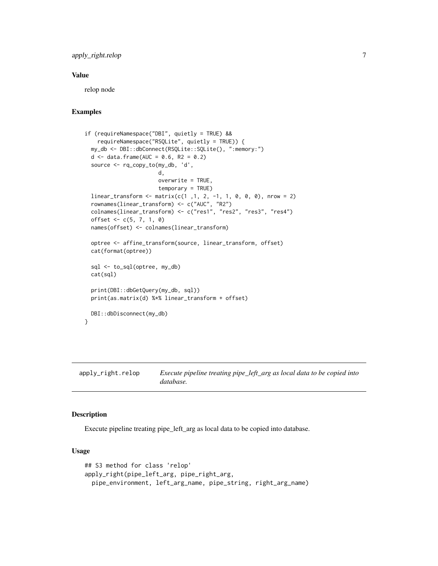# <span id="page-6-0"></span>apply\_right.relop 7

#### Value

relop node

#### Examples

```
if (requireNamespace("DBI", quietly = TRUE) &&
   requireNamespace("RSQLite", quietly = TRUE)) {
 my_db <- DBI::dbConnect(RSQLite::SQLite(), ":memory:")
 d \leq - data.frame(AUC = 0.6, R2 = 0.2)
 source <- rq_copy_to(my_db, 'd',
                       d,
                       overwrite = TRUE,
                       temporary = TRUE)
 linear_transform <- matrix(c(1 ,1, 2, -1, 1, 0, 0, 0), nrow = 2)
 rownames(linear_transform) <- c("AUC", "R2")
 colnames(linear_transform) <- c("res1", "res2", "res3", "res4")
 offset <- c(5, 7, 1, 0)
 names(offset) <- colnames(linear_transform)
 optree <- affine_transform(source, linear_transform, offset)
 cat(format(optree))
 sql <- to_sql(optree, my_db)
 cat(sql)
 print(DBI::dbGetQuery(my_db, sql))
 print(as.matrix(d) %*% linear_transform + offset)
 DBI::dbDisconnect(my_db)
}
```
apply\_right.relop *Execute pipeline treating pipe\_left\_arg as local data to be copied into database.*

#### Description

Execute pipeline treating pipe\_left\_arg as local data to be copied into database.

#### Usage

```
## S3 method for class 'relop'
apply_right(pipe_left_arg, pipe_right_arg,
 pipe_environment, left_arg_name, pipe_string, right_arg_name)
```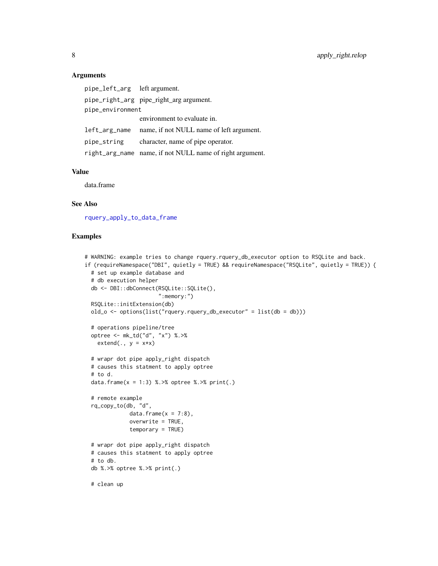# Arguments

| pipe_left_arg left argument. |                                                          |
|------------------------------|----------------------------------------------------------|
|                              | pipe_right_arg pipe_right_arg argument.                  |
| pipe_environment             |                                                          |
|                              | environment to evaluate in.                              |
|                              | left_arg_name name, if not NULL name of left argument.   |
| pipe_string                  | character, name of pipe operator.                        |
|                              | right_arg_name name, if not NULL name of right argument. |

#### Value

data.frame

# See Also

[rquery\\_apply\\_to\\_data\\_frame](#page-65-1)

```
# WARNING: example tries to change rquery.rquery_db_executor option to RSQLite and back.
if (requireNamespace("DBI", quietly = TRUE) && requireNamespace("RSQLite", quietly = TRUE)) {
 # set up example database and
 # db execution helper
 db <- DBI::dbConnect(RSQLite::SQLite(),
                       ":memory:")
 RSQLite::initExtension(db)
 old_o <- options(list("rquery.rquery_db_executor" = list(db = db)))
 # operations pipeline/tree
 optree <- mk_td("d", "x") %.>%
   extend(., y = x*x)# wrapr dot pipe apply_right dispatch
 # causes this statment to apply optree
 # to d.
 data.frame(x = 1:3) %. >% optree %. >% print(.)
 # remote example
 rq_copy_to(db, "d",
             data.frame(x = 7:8),
             overwrite = TRUE,
             temporary = TRUE)
 # wrapr dot pipe apply_right dispatch
 # causes this statment to apply optree
 # to db.
 db %.>% optree %.>% print(.)
 # clean up
```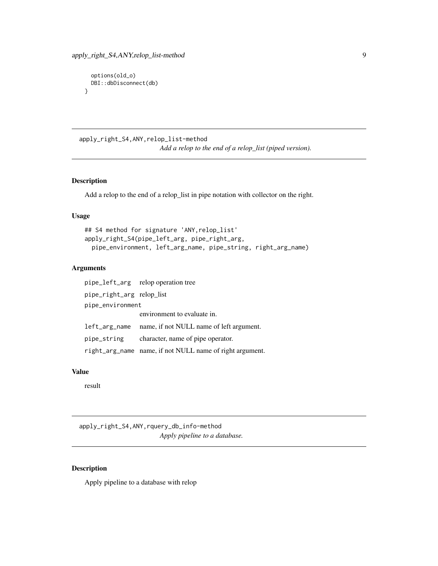```
options(old_o)
 DBI::dbDisconnect(db)
}
```
apply\_right\_S4,ANY,relop\_list-method *Add a relop to the end of a relop\_list (piped version).*

# Description

Add a relop to the end of a relop\_list in pipe notation with collector on the right.

# Usage

```
## S4 method for signature 'ANY,relop_list'
apply_right_S4(pipe_left_arg, pipe_right_arg,
 pipe_environment, left_arg_name, pipe_string, right_arg_name)
```
# Arguments

|                           | pipe_left_arg relop operation tree                       |
|---------------------------|----------------------------------------------------------|
| pipe_right_arg relop_list |                                                          |
| pipe_environment          |                                                          |
|                           | environment to evaluate in.                              |
|                           | left_arg_name name, if not NULL name of left argument.   |
| pipe_string               | character, name of pipe operator.                        |
|                           | right_arg_name name, if not NULL name of right argument. |

#### Value

result

apply\_right\_S4,ANY,rquery\_db\_info-method *Apply pipeline to a database.*

# Description

Apply pipeline to a database with relop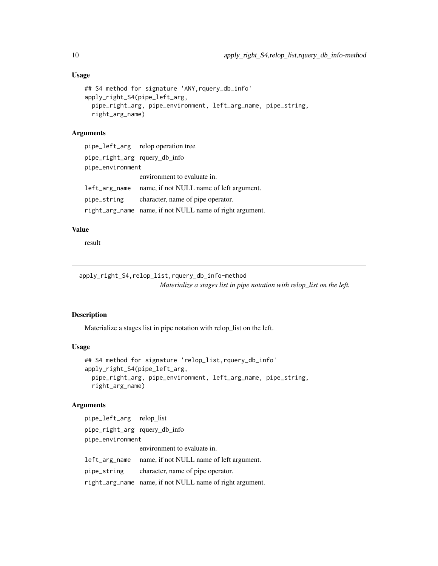# Usage

```
## S4 method for signature 'ANY,rquery_db_info'
apply_right_S4(pipe_left_arg,
 pipe_right_arg, pipe_environment, left_arg_name, pipe_string,
 right_arg_name)
```
# Arguments

|                               | pipe_left_arg relop operation tree                       |
|-------------------------------|----------------------------------------------------------|
| pipe_right_arg rquery_db_info |                                                          |
| pipe_environment              |                                                          |
|                               | environment to evaluate in.                              |
| left_arg_name                 | name, if not NULL name of left argument.                 |
| pipe_string                   | character, name of pipe operator.                        |
|                               | right_arg_name name, if not NULL name of right argument. |

# Value

result

apply\_right\_S4,relop\_list,rquery\_db\_info-method *Materialize a stages list in pipe notation with relop\_list on the left.*

# Description

Materialize a stages list in pipe notation with relop\_list on the left.

#### Usage

```
## S4 method for signature 'relop_list,rquery_db_info'
apply_right_S4(pipe_left_arg,
 pipe_right_arg, pipe_environment, left_arg_name, pipe_string,
 right_arg_name)
```
# Arguments

```
pipe_left_arg relop_list
pipe_right_arg rquery_db_info
pipe_environment
                environment to evaluate in.
left_arg_name name, if not NULL name of left argument.
pipe_string character, name of pipe operator.
right_arg_name name, if not NULL name of right argument.
```
<span id="page-9-0"></span>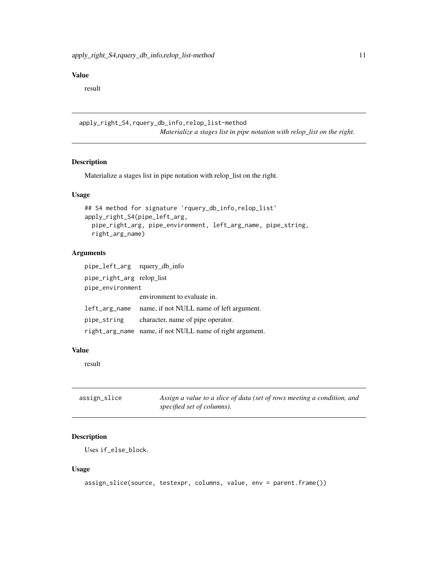# <span id="page-10-0"></span>Value

result

```
apply_right_S4,rquery_db_info,relop_list-method
                          Materialize a stages list in pipe notation with relop_list on the right.
```
# Description

Materialize a stages list in pipe notation with relop\_list on the right.

# Usage

```
## S4 method for signature 'rquery_db_info,relop_list'
apply_right_S4(pipe_left_arg,
 pipe_right_arg, pipe_environment, left_arg_name, pipe_string,
 right_arg_name)
```
#### Arguments

| pipe_left_arg rquery_db_info |                                                          |
|------------------------------|----------------------------------------------------------|
| pipe_right_arg relop_list    |                                                          |
| pipe_environment             |                                                          |
|                              | environment to evaluate in.                              |
| left_arg_name                | name, if not NULL name of left argument.                 |
| pipe_string                  | character, name of pipe operator.                        |
|                              | right_arg_name name, if not NULL name of right argument. |

# Value

result

| assign_slice | Assign a value to a slice of data (set of rows meeting a condition, and |
|--------------|-------------------------------------------------------------------------|
|              | specified set of columns).                                              |

# Description

Uses if\_else\_block.

#### Usage

```
assign_slice(source, testexpr, columns, value, env = parent.frame())
```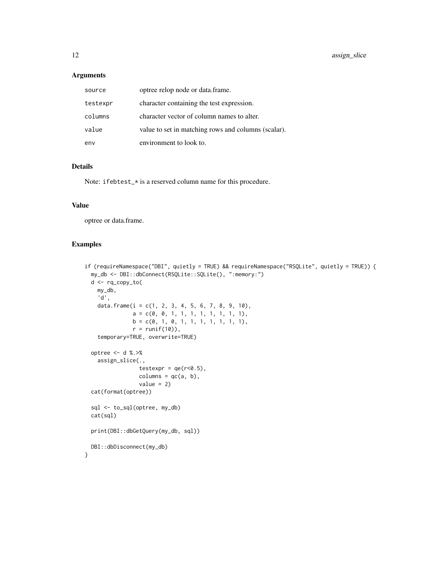# Arguments

| source   | optree relop node or data.frame.                    |
|----------|-----------------------------------------------------|
| testexpr | character containing the test expression.           |
| columns  | character vector of column names to alter.          |
| value    | value to set in matching rows and columns (scalar). |
| env      | environment to look to.                             |

# Details

Note: ifebtest\_\* is a reserved column name for this procedure.

# Value

optree or data.frame.

```
if (requireNamespace("DBI", quietly = TRUE) && requireNamespace("RSQLite", quietly = TRUE)) {
 my_db <- DBI::dbConnect(RSQLite::SQLite(), ":memory:")
 d <- rq_copy_to(
   my_db,
    'd',
   data.frame(i = c(1, 2, 3, 4, 5, 6, 7, 8, 9, 10),
               a = c(0, 0, 1, 1, 1, 1, 1, 1, 1, 1),b = c(0, 1, 0, 1, 1, 1, 1, 1, 1, 1),r = runif(10),
    temporary=TRUE, overwrite=TRUE)
 optree <- d %.>%
    assign_slice(.,
                 testexpr = qe(r<0.5),
                 columns = qc(a, b),value = 2)cat(format(optree))
 sql <- to_sql(optree, my_db)
 cat(sql)
 print(DBI::dbGetQuery(my_db, sql))
 DBI::dbDisconnect(my_db)
}
```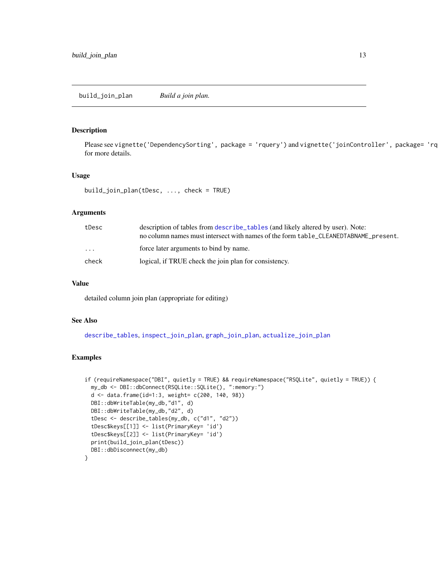<span id="page-12-1"></span><span id="page-12-0"></span>build\_join\_plan *Build a join plan.*

# Description

Please see vignette('DependencySorting', package = 'rquery') and vignette('joinController', package= 'rquery') for more details.

#### Usage

```
build_join_plan(tDesc, ..., check = TRUE)
```
#### Arguments

| tDesc   | description of tables from describe_tables (and likely altered by user). Note:<br>no column names must intersect with names of the form table_CLEANEDTABNAME_present. |
|---------|-----------------------------------------------------------------------------------------------------------------------------------------------------------------------|
| $\cdot$ | force later arguments to bind by name.                                                                                                                                |
| check   | logical, if TRUE check the join plan for consistency.                                                                                                                 |

#### Value

detailed column join plan (appropriate for editing)

## See Also

[describe\\_tables](#page-19-1), [inspect\\_join\\_plan](#page-32-1), [graph\\_join\\_plan](#page-28-1), [actualize\\_join\\_plan](#page-3-1)

```
if (requireNamespace("DBI", quietly = TRUE) && requireNamespace("RSQLite", quietly = TRUE)) {
 my_db <- DBI::dbConnect(RSQLite::SQLite(), ":memory:")
 d <- data.frame(id=1:3, weight= c(200, 140, 98))
 DBI::dbWriteTable(my_db,"d1", d)
 DBI::dbWriteTable(my_db,"d2", d)
 tDesc <- describe_tables(my_db, c("d1", "d2"))
 tDesc$keys[[1]] <- list(PrimaryKey= 'id')
 tDesc$keys[[2]] <- list(PrimaryKey= 'id')
 print(build_join_plan(tDesc))
 DBI::dbDisconnect(my_db)
}
```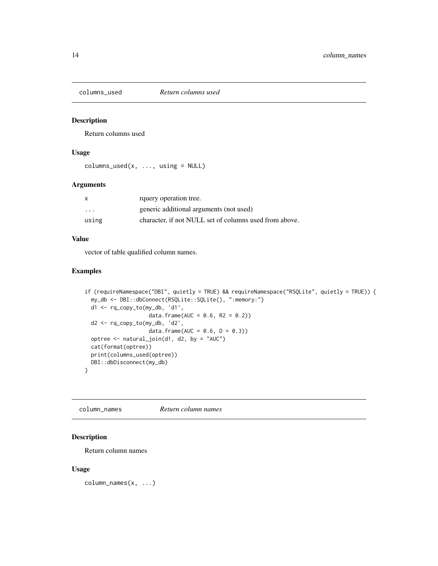<span id="page-13-0"></span>

#### Description

Return columns used

# Usage

```
columns\_used(x, ..., using = NULL)
```
# Arguments

|                         | rquery operation tree.                                 |
|-------------------------|--------------------------------------------------------|
| $\cdot$ $\cdot$ $\cdot$ | generic additional arguments (not used)                |
| using                   | character, if not NULL set of columns used from above. |

# Value

vector of table qualified column names.

# Examples

```
if (requireNamespace("DBI", quietly = TRUE) && requireNamespace("RSQLite", quietly = TRUE)) {
 my_db <- DBI::dbConnect(RSQLite::SQLite(), ":memory:")
 d1 <- rq_copy_to(my_db, 'd1',
                    data.frame(AUC = 0.6, R2 = 0.2))
 d2 <- rq_copy_to(my_db, 'd2',
                    data.frame(AUC = 0.6, D = 0.3))
 optree <- natural_join(d1, d2, by = "AUC")
 cat(format(optree))
 print(columns_used(optree))
 DBI::dbDisconnect(my_db)
}
```
column\_names *Return column names*

# Description

Return column names

#### Usage

column\_names(x, ...)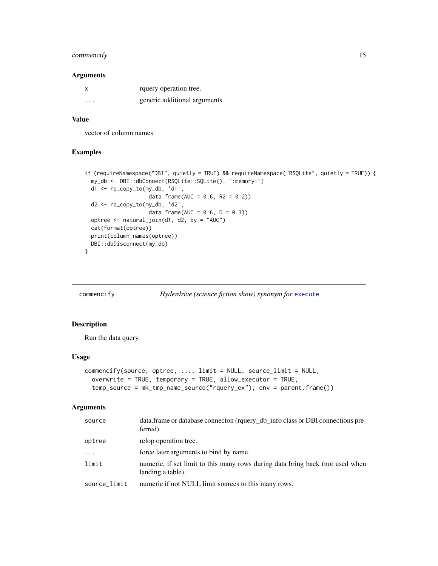# <span id="page-14-0"></span>commencify 15

#### Arguments

| x                 | rquery operation tree.       |
|-------------------|------------------------------|
| $\cdot\cdot\cdot$ | generic additional arguments |

# Value

vector of column names

#### Examples

```
if (requireNamespace("DBI", quietly = TRUE) && requireNamespace("RSQLite", quietly = TRUE)) {
 my_db <- DBI::dbConnect(RSQLite::SQLite(), ":memory:")
 d1 <- rq_copy_to(my_db, 'd1',
                    data.frame(AUC = 0.6, R2 = 0.2))
 d2 <- rq_copy_to(my_db, 'd2',
                   data.frame(AUC = 0.6, D = 0.3))
 optree <- natural_join(d1, d2, by = "AUC")
 cat(format(optree))
 print(column_names(optree))
 DBI::dbDisconnect(my_db)
}
```
commencify *Hyderdrive (science fiction show) synonym for* [execute](#page-22-1)

# Description

Run the data query.

# Usage

```
commencify(source, optree, ..., limit = NULL, source_limit = NULL,
 overwrite = TRUE, temporary = TRUE, allow_executor = TRUE,
  temp_source = mk_tmp_name_source("rquery_ex"), env = parent.frame())
```
#### Arguments

| source       | data.frame or database connecton (rquery_db_info class or DBI connections pre-<br>ferred).         |
|--------------|----------------------------------------------------------------------------------------------------|
| optree       | relop operation tree.                                                                              |
| $\ddotsc$    | force later arguments to bind by name.                                                             |
| limit        | numeric, if set limit to this many rows during data bring back (not used when<br>landing a table). |
| source_limit | numeric if not NULL limit sources to this many rows.                                               |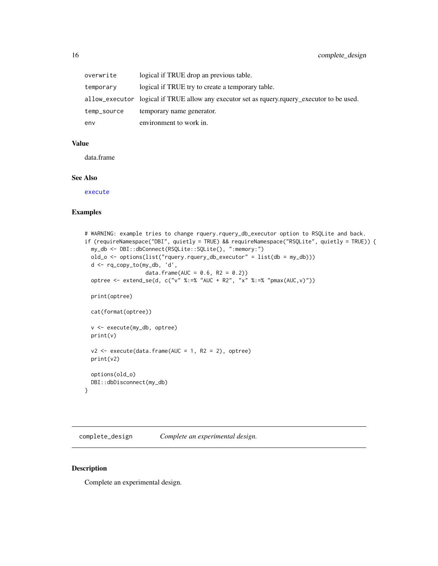<span id="page-15-0"></span>

| overwrite   | logical if TRUE drop an previous table.                                                     |
|-------------|---------------------------------------------------------------------------------------------|
| temporary   | logical if TRUE try to create a temporary table.                                            |
|             | allow_executor logical if TRUE allow any executor set as rguery.rguery executor to be used. |
| temp_source | temporary name generator.                                                                   |
| env         | environment to work in.                                                                     |

#### Value

data.frame

#### See Also

[execute](#page-22-1)

# Examples

```
# WARNING: example tries to change rquery.rquery_db_executor option to RSQLite and back.
if (requireNamespace("DBI", quietly = TRUE) && requireNamespace("RSQLite", quietly = TRUE)) {
 my_db <- DBI::dbConnect(RSQLite::SQLite(), ":memory:")
 old_o <- options(list("rquery.rquery_db_executor" = list(db = my_db)))
 d <- rq_copy_to(my_db, 'd',
                   data.frame(AUC = 0.6, R2 = 0.2))
 optree <- extend_se(d, c("v" %:=% "AUC + R2", "x" %:=% "pmax(AUC, v)"))
 print(optree)
 cat(format(optree))
 v <- execute(my_db, optree)
 print(v)
 v2 \le execute(data.frame(AUC = 1, R2 = 2), optree)
 print(v2)
 options(old_o)
 DBI::dbDisconnect(my_db)
}
```
complete\_design *Complete an experimental design.*

# Description

Complete an experimental design.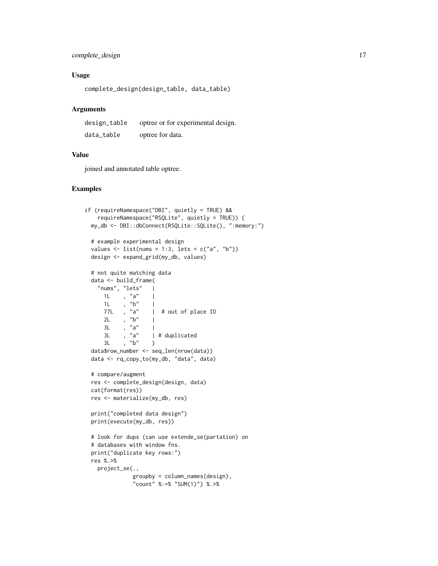# complete\_design 17

# Usage

complete\_design(design\_table, data\_table)

#### Arguments

| design_table | optree or for experimental design. |
|--------------|------------------------------------|
| data_table   | optree for data.                   |

#### Value

joined and annotated table optree.

```
if (requireNamespace("DBI", quietly = TRUE) &&
   requireNamespace("RSQLite", quietly = TRUE)) {
 my_db <- DBI::dbConnect(RSQLite::SQLite(), ":memory:")
 # example experimental design
 values \le list(nums = 1:3, lets = c("a", "b"))
 design <- expand_grid(my_db, values)
 # not quite matching data
 data <- build_frame(
   "nums", "lets"
     1L, "a" |
     1L , "b" |<br>77L , "a" |
                   | # out of place ID
     2L , \overline{b}" |
     3L , "a" |<br>3L , "a" |
     3L , "a" | # duplicated
     3L, nb'' )
 data$row_number <- seq_len(nrow(data))
 data <- rq_copy_to(my_db, "data", data)
 # compare/augment
 res <- complete_design(design, data)
 cat(format(res))
 res <- materialize(my_db, res)
 print("completed data design")
 print(execute(my_db, res))
 # look for dups (can use extende_se(partation) on
 # databases with window fns.
 print("duplicate key rows:")
 res %.>%
   project_se(.,
              groupby = column_names(design),
               "count" %:=% "SUM(1)") %.>%
```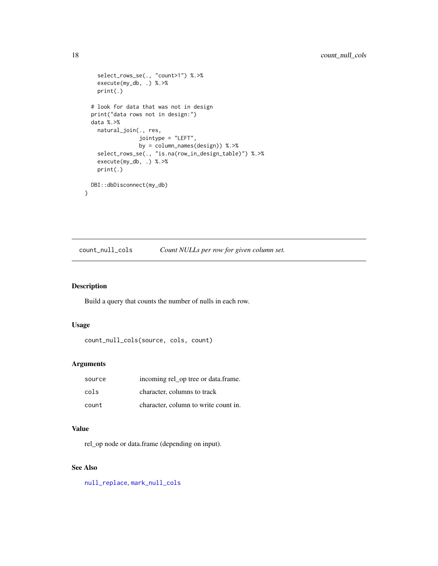```
select_rows_se(., "count>1") %.>%
   execute(my_db, .) %.>%
   print(.)
 # look for data that was not in design
 print("data rows not in design:")
 data %.>%
   natural_join(., res,
                jointype = "LEFT",
                 by = column_names(design)) %.>%
    select_rows_se(., "is.na(row_in_design_table)") %.>%
   execute(my_db, .) %.>%
   print(.)
 DBI::dbDisconnect(my_db)
}
```
count\_null\_cols *Count NULLs per row for given column set.*

# Description

Build a query that counts the number of nulls in each row.

#### Usage

```
count_null_cols(source, cols, count)
```
#### Arguments

| source | incoming rel_op tree or data.frame.  |
|--------|--------------------------------------|
| cols   | character, columns to track          |
| count  | character, column to write count in. |

# Value

rel\_op node or data.frame (depending on input).

# See Also

[null\\_replace](#page-50-1), [mark\\_null\\_cols](#page-40-1)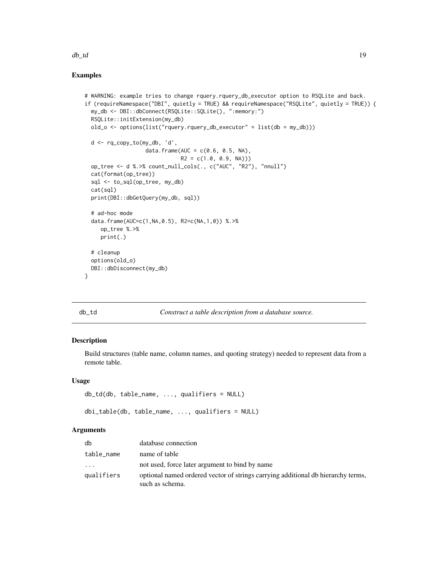#### <span id="page-18-0"></span> $d\mathbf{b}_\perp d$  19

# Examples

```
# WARNING: example tries to change rquery.rquery_db_executor option to RSQLite and back.
if (requireNamespace("DBI", quietly = TRUE) && requireNamespace("RSQLite", quietly = TRUE)) {
 my_db <- DBI::dbConnect(RSQLite::SQLite(), ":memory:")
 RSQLite::initExtension(my_db)
 old_o <- options(list("rquery.rquery_db_executor" = list(db = my_db)))
 d <- rq_copy_to(my_db, 'd',
                   data.frame(AUC = c(0.6, 0.5, NA),
                              R2 = c(1.0, 0.9, NA))op_tree <- d %.>% count_null_cols(., c("AUC", "R2"), "nnull")
 cat(format(op_tree))
 sql <- to_sql(op_tree, my_db)
 cat(sql)
 print(DBI::dbGetQuery(my_db, sql))
 # ad-hoc mode
 data.frame(AUC=c(1,NA,0.5), R2=c(NA,1,0)) %.>%
     op_tree %.>%
     print(.)
 # cleanup
 options(old_o)
 DBI::dbDisconnect(my_db)
}
```
<span id="page-18-1"></span>

|--|--|

#### Construct a table description from a database source.

# Description

Build structures (table name, column names, and quoting strategy) needed to represent data from a remote table.

#### Usage

```
db_td(db, table_name, ..., qualifiers = NULL)
```
dbi\_table(db, table\_name, ..., qualifiers = NULL)

#### **Arguments**

| db         | database connection                                                                                 |
|------------|-----------------------------------------------------------------------------------------------------|
| table_name | name of table                                                                                       |
| $\cdot$    | not used, force later argument to bind by name                                                      |
| qualifiers | optional named ordered vector of strings carrying additional db hierarchy terms,<br>such as schema. |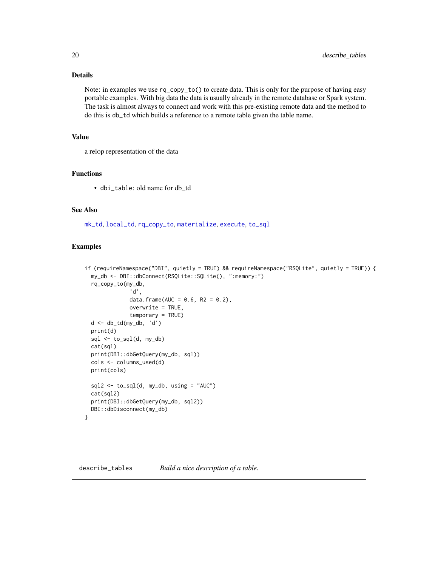# Details

Note: in examples we use rq\_copy\_to() to create data. This is only for the purpose of having easy portable examples. With big data the data is usually already in the remote database or Spark system. The task is almost always to connect and work with this pre-existing remote data and the method to do this is db\_td which builds a reference to a remote table given the table name.

# Value

a relop representation of the data

# Functions

• dbi\_table: old name for db\_td

# See Also

[mk\\_td](#page-45-1), [local\\_td](#page-36-1), [rq\\_copy\\_to](#page-71-1), [materialize](#page-41-1), [execute](#page-22-1), [to\\_sql](#page-91-1)

#### Examples

```
if (requireNamespace("DBI", quietly = TRUE) && requireNamespace("RSQLite", quietly = TRUE)) {
 my_db <- DBI::dbConnect(RSQLite::SQLite(), ":memory:")
 rq_copy_to(my_db,
              'd',
              data.frame(AUC = 0.6, R2 = 0.2),
              overwrite = TRUE,
              temporary = TRUE)
 d <- db_td(my_db, 'd')
 print(d)
 sql \leftarrow to_sql(d, my_db)cat(sql)
 print(DBI::dbGetQuery(my_db, sql))
 cols <- columns_used(d)
 print(cols)
 sql2 \leftarrow to_sql(d, my_db, using = "AUC")cat(sql2)
 print(DBI::dbGetQuery(my_db, sql2))
 DBI::dbDisconnect(my_db)
}
```
<span id="page-19-1"></span>describe\_tables *Build a nice description of a table.*

<span id="page-19-0"></span>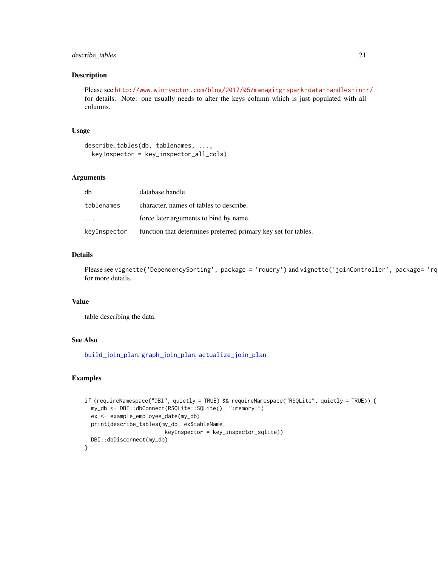# describe\_tables 21

#### Description

Please see <http://www.win-vector.com/blog/2017/05/managing-spark-data-handles-in-r/> for details. Note: one usually needs to alter the keys column which is just populated with all columns.

# Usage

```
describe_tables(db, tablenames, ...,
  keyInspector = key_inspector_all_cols)
```
#### Arguments

| db                      | database handle                                                |
|-------------------------|----------------------------------------------------------------|
| tablenames              | character, names of tables to describe.                        |
| $\cdot$ $\cdot$ $\cdot$ | force later arguments to bind by name.                         |
| keyInspector            | function that determines preferred primary key set for tables. |

# Details

Please see vignette('DependencySorting', package = 'rquery') and vignette('joinController', package= 'rquery') for more details.

#### Value

table describing the data.

# See Also

[build\\_join\\_plan](#page-12-1), [graph\\_join\\_plan](#page-28-1), [actualize\\_join\\_plan](#page-3-1)

```
if (requireNamespace("DBI", quietly = TRUE) && requireNamespace("RSQLite", quietly = TRUE)) {
 my_db <- DBI::dbConnect(RSQLite::SQLite(), ":memory:")
 ex <- example_employee_date(my_db)
 print(describe_tables(my_db, ex$tableName,
                        keyInspector = key_inspector_sqlite))
 DBI::dbDisconnect(my_db)
}
```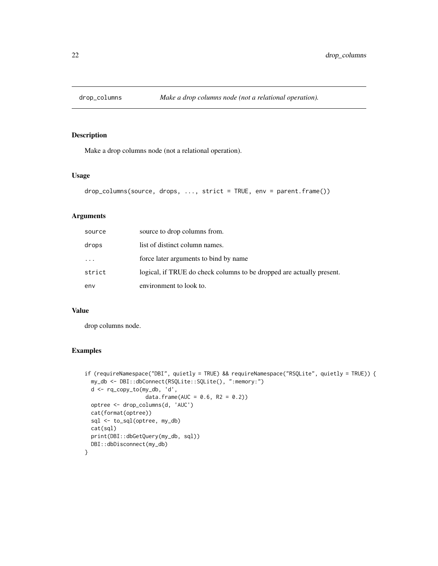<span id="page-21-0"></span>

# Description

Make a drop columns node (not a relational operation).

#### Usage

```
drop_columns(source, drops, ..., strict = TRUE, env = parent.frame())
```
# Arguments

| source   | source to drop columns from.                                          |
|----------|-----------------------------------------------------------------------|
| drops    | list of distinct column names.                                        |
| $\cdots$ | force later arguments to bind by name                                 |
| strict   | logical, if TRUE do check columns to be dropped are actually present. |
| env      | environment to look to.                                               |

#### Value

drop columns node.

```
if (requireNamespace("DBI", quietly = TRUE) && requireNamespace("RSQLite", quietly = TRUE)) {
 my_db <- DBI::dbConnect(RSQLite::SQLite(), ":memory:")
 d <- rq_copy_to(my_db, 'd',
                   data.frame(AUC = 0.6, R2 = 0.2))
 optree <- drop_columns(d, 'AUC')
 cat(format(optree))
 sql <- to_sql(optree, my_db)
 cat(sql)
 print(DBI::dbGetQuery(my_db, sql))
 DBI::dbDisconnect(my_db)
}
```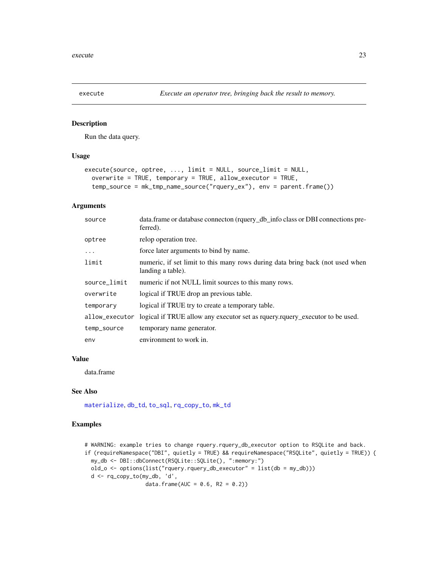<span id="page-22-1"></span><span id="page-22-0"></span>

#### Description

Run the data query.

### Usage

```
execute(source, optree, ..., limit = NULL, source_limit = NULL,
  overwrite = TRUE, temporary = TRUE, allow_executor = TRUE,
  temp_source = mk_tmp_name_source("rquery_ex"), env = parent.frame())
```
#### Arguments

| source         | data.frame or database connecton (rquery_db_info class or DBI connections pre-<br>ferred).         |
|----------------|----------------------------------------------------------------------------------------------------|
| optree         | relop operation tree.                                                                              |
| $\cdots$       | force later arguments to bind by name.                                                             |
| limit          | numeric, if set limit to this many rows during data bring back (not used when<br>landing a table). |
| source_limit   | numeric if not NULL limit sources to this many rows.                                               |
| overwrite      | logical if TRUE drop an previous table.                                                            |
| temporary      | logical if TRUE try to create a temporary table.                                                   |
| allow_executor | logical if TRUE allow any executor set as requery requery executor to be used.                     |
| temp_source    | temporary name generator.                                                                          |
| env            | environment to work in.                                                                            |

#### Value

data.frame

# See Also

[materialize](#page-41-1), [db\\_td](#page-18-1), [to\\_sql](#page-91-1), [rq\\_copy\\_to](#page-71-1), [mk\\_td](#page-45-1)

```
# WARNING: example tries to change rquery.rquery_db_executor option to RSQLite and back.
if (requireNamespace("DBI", quietly = TRUE) && requireNamespace("RSQLite", quietly = TRUE)) {
 my_db <- DBI::dbConnect(RSQLite::SQLite(), ":memory:")
 old_o <- options(list("rquery.rquery_db_executor" = list(db = my_db)))
 d <- rq_copy_to(my_db, 'd',
                  data.frame(AUC = 0.6, R2 = 0.2))
```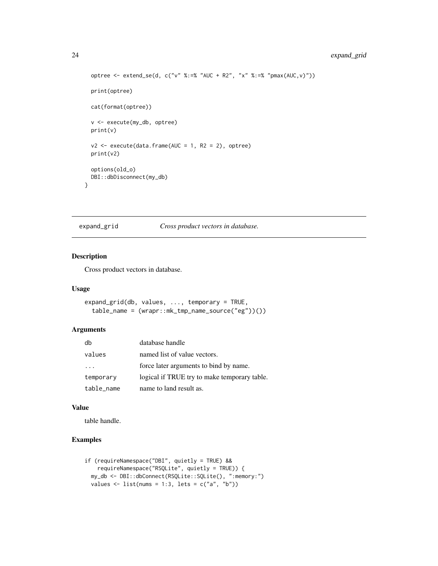```
optree <- extend_se(d, c("v" %:=% "AUC + R2", "x" %:=% "pmax(AUC,v)"))
print(optree)
cat(format(optree))
v <- execute(my_db, optree)
print(v)
v2 \leq - execute(data.frame(AUC = 1, R2 = 2), optree)
print(v2)
options(old_o)
DBI::dbDisconnect(my_db)
```
expand\_grid *Cross product vectors in database.*

# Description

}

Cross product vectors in database.

#### Usage

```
expand_grid(db, values, ..., temporary = TRUE,
  table_name = (wrapr::mk_tmp_name_source("eg"))())
```
# Arguments

| db         | database handle                              |
|------------|----------------------------------------------|
| values     | named list of value vectors.                 |
|            | force later arguments to bind by name.       |
| temporary  | logical if TRUE try to make temporary table. |
| table_name | name to land result as.                      |

#### Value

table handle.

```
if (requireNamespace("DBI", quietly = TRUE) &&
   requireNamespace("RSQLite", quietly = TRUE)) {
 my_db <- DBI::dbConnect(RSQLite::SQLite(), ":memory:")
 values \le list(nums = 1:3, lets = c("a", "b"))
```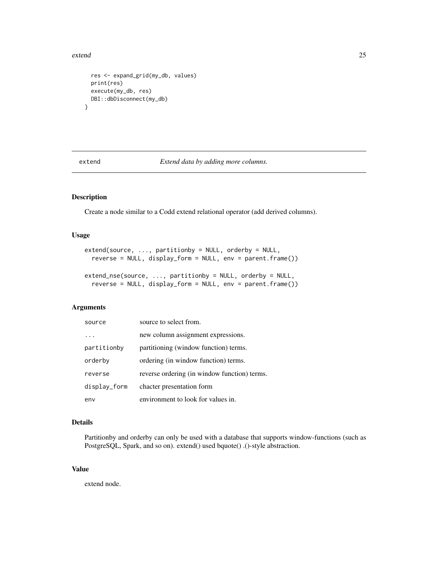#### <span id="page-24-0"></span>extend 25

```
res <- expand_grid(my_db, values)
 print(res)
 execute(my_db, res)
 DBI::dbDisconnect(my_db)
}
```
extend *Extend data by adding more columns.*

# Description

Create a node similar to a Codd extend relational operator (add derived columns).

# Usage

```
extend(source, ..., partitionby = NULL, orderby = NULL,
  reverse = NULL, display_form = NULL, env = parent.frame())
extend_nse(source, ..., partitionby = NULL, orderby = NULL,
  reverse = NULL, display_form = NULL, env = parent.frame())
```
# Arguments

| source       | source to select from.                       |  |
|--------------|----------------------------------------------|--|
|              | new column assignment expressions.           |  |
| partitionby  | partitioning (window function) terms.        |  |
| orderby      | ordering (in window function) terms.         |  |
| reverse      | reverse ordering (in window function) terms. |  |
| display_form | chacter presentation form                    |  |
| env          | environment to look for values in.           |  |

#### Details

Partitionby and orderby can only be used with a database that supports window-functions (such as PostgreSQL, Spark, and so on). extend() used bquote() .()-style abstraction.

# Value

extend node.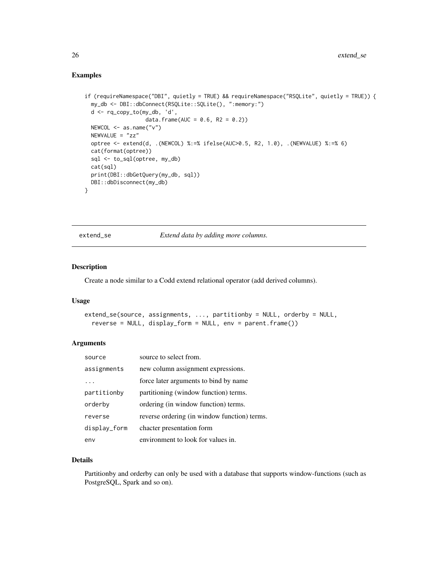# <span id="page-25-0"></span>Examples

```
if (requireNamespace("DBI", quietly = TRUE) && requireNamespace("RSQLite", quietly = TRUE)) {
 my_db <- DBI::dbConnect(RSQLite::SQLite(), ":memory:")
 d <- rq_copy_to(my_db, 'd',
                   data.frame(AUC = 0.6, R2 = 0.2))
 NEWCOL <- as.name("v")
 NEWVALUE = "zz"optree <- extend(d, .(NEWCOL) %:=% ifelse(AUC>0.5, R2, 1.0), .(NEWVALUE) %:=% 6)
 cat(format(optree))
 sql <- to_sql(optree, my_db)
 cat(sql)
 print(DBI::dbGetQuery(my_db, sql))
 DBI::dbDisconnect(my_db)
}
```
<span id="page-25-1"></span>extend\_se *Extend data by adding more columns.*

# Description

Create a node similar to a Codd extend relational operator (add derived columns).

#### Usage

```
extend_se(source, assignments, ..., partitionby = NULL, orderby = NULL,
  reverse = NULL, display_form = NULL, env = parent.frame())
```
#### Arguments

| source       | source to select from.                       |
|--------------|----------------------------------------------|
| assignments  | new column assignment expressions.           |
|              | force later arguments to bind by name        |
| partitionby  | partitioning (window function) terms.        |
| orderby      | ordering (in window function) terms.         |
| reverse      | reverse ordering (in window function) terms. |
| display_form | chacter presentation form                    |
| env          | environment to look for values in.           |

#### Details

Partitionby and orderby can only be used with a database that supports window-functions (such as PostgreSQL, Spark and so on).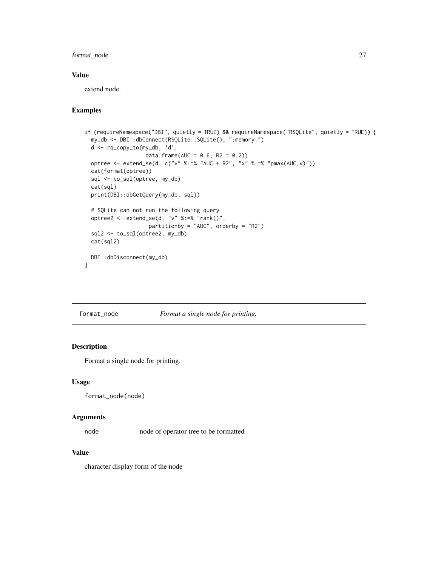# <span id="page-26-0"></span>format\_node 27

#### Value

extend node.

# Examples

```
if (requireNamespace("DBI", quietly = TRUE) && requireNamespace("RSQLite", quietly = TRUE)) {
 my_db <- DBI::dbConnect(RSQLite::SQLite(), ":memory:")
 d <- rq_copy_to(my_db, 'd',
                   data.frame(AUC = 0.6, R2 = 0.2))
 optree <- extend_se(d, c("v" %:=% "AUC + R2", "x" %:=% "pmax(AUC,v)"))
 cat(format(optree))
 sql <- to_sql(optree, my_db)
 cat(sql)
 print(DBI::dbGetQuery(my_db, sql))
 # SQLite can not run the following query
 optree2 <- extend_se(d, "v" %:=% "rank()",
                    partitionby = "AUC", orderby = "R2")
 sql2 <- to_sql(optree2, my_db)
 cat(sql2)
 DBI::dbDisconnect(my_db)
}
```
format\_node *Format a single node for printing.*

# Description

Format a single node for printing.

#### Usage

format\_node(node)

#### Arguments

node node of operator tree to be formatted

### Value

character display form of the node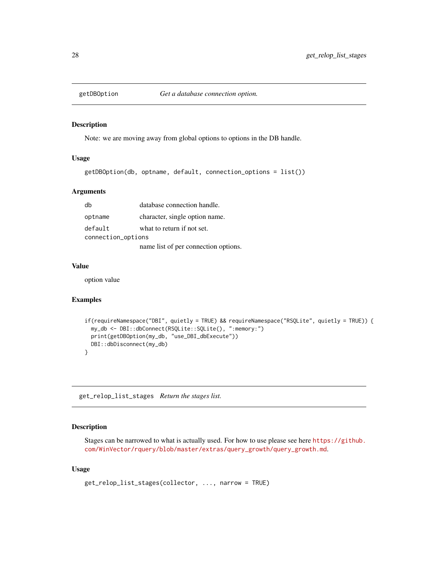<span id="page-27-0"></span>

#### Description

Note: we are moving away from global options to options in the DB handle.

# Usage

```
getDBOption(db, optname, default, connection_options = list())
```
#### Arguments

| db                 | database connection handle.          |  |
|--------------------|--------------------------------------|--|
| optname            | character, single option name.       |  |
| default            | what to return if not set.           |  |
| connection_options |                                      |  |
|                    | name list of per connection options. |  |

#### Value

option value

# Examples

```
if(requireNamespace("DBI", quietly = TRUE) && requireNamespace("RSQLite", quietly = TRUE)) {
 my_db <- DBI::dbConnect(RSQLite::SQLite(), ":memory:")
 print(getDBOption(my_db, "use_DBI_dbExecute"))
 DBI::dbDisconnect(my_db)
}
```
<span id="page-27-1"></span>get\_relop\_list\_stages *Return the stages list.*

# Description

Stages can be narrowed to what is actually used. For how to use please see here [https://github.](https://github.com/WinVector/rquery/blob/master/extras/query_growth/query_growth.md) [com/WinVector/rquery/blob/master/extras/query\\_growth/query\\_growth.md](https://github.com/WinVector/rquery/blob/master/extras/query_growth/query_growth.md).

#### Usage

```
get_relop_list_stages(collector, ..., narrow = TRUE)
```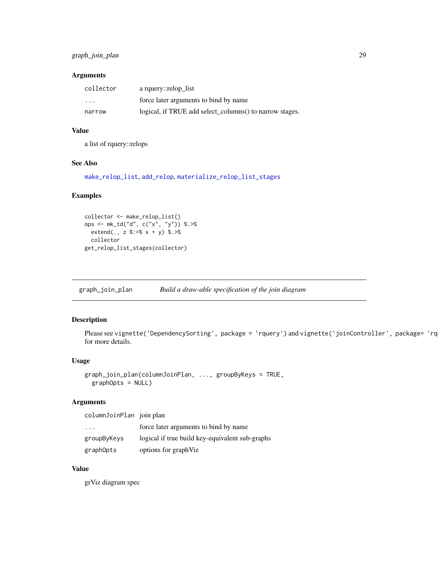# <span id="page-28-0"></span>Arguments

| collector | a rquery::relop list                                    |
|-----------|---------------------------------------------------------|
| $\cdots$  | force later arguments to bind by name                   |
| narrow    | logical, if TRUE add select_columns() to narrow stages. |

# Value

a list of rquery::relops

# See Also

[make\\_relop\\_list](#page-38-1), [add\\_relop](#page-4-1), [materialize\\_relop\\_list\\_stages](#page-43-1)

#### Examples

```
collector <- make_relop_list()
ops <- mk_td("d", c("x", "y")) %.>%
  extend(., z %:=% x + y) %.>%
  collector
get_relop_list_stages(collector)
```
<span id="page-28-1"></span>graph\_join\_plan *Build a draw-able specification of the join diagram*

# Description

Please see vignette('DependencySorting', package = 'rquery') and vignette('joinController', package= 'rq for more details.

#### Usage

```
graph_join_plan(columnJoinPlan, ..., groupByKeys = TRUE,
 graphOpts = NULL)
```
# Arguments

| columnJoinPlan join plan |                                                 |
|--------------------------|-------------------------------------------------|
| $\cdot$ $\cdot$ $\cdot$  | force later arguments to bind by name           |
| groupByKeys              | logical if true build key-equivalent sub-graphs |
| graphOpts                | options for graphViz                            |

# Value

grViz diagram spec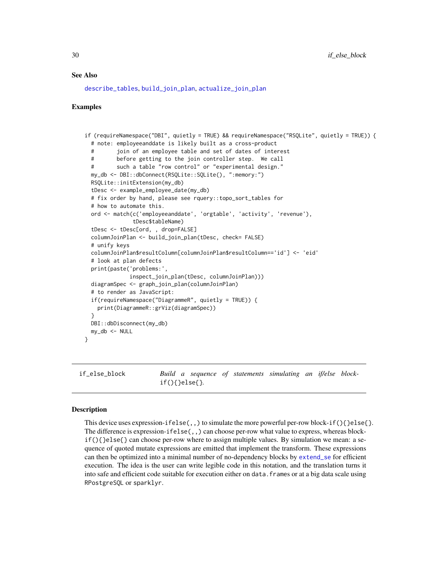#### <span id="page-29-0"></span>See Also

[describe\\_tables](#page-19-1), [build\\_join\\_plan](#page-12-1), [actualize\\_join\\_plan](#page-3-1)

#### Examples

```
if (requireNamespace("DBI", quietly = TRUE) && requireNamespace("RSQLite", quietly = TRUE)) {
 # note: employeeanddate is likely built as a cross-product
 # join of an employee table and set of dates of interest
 # before getting to the join controller step. We call
 # such a table "row control" or "experimental design."
 my_db <- DBI::dbConnect(RSQLite::SQLite(), ":memory:")
 RSQLite::initExtension(my_db)
 tDesc <- example_employee_date(my_db)
 # fix order by hand, please see rquery::topo_sort_tables for
 # how to automate this.
 ord <- match(c('employeeanddate', 'orgtable', 'activity', 'revenue'),
              tDesc$tableName)
 tDesc <- tDesc[ord, , drop=FALSE]
 columnJoinPlan <- build_join_plan(tDesc, check= FALSE)
 # unify keys
 columnJoinPlan$resultColumn[columnJoinPlan$resultColumn=='id'] <- 'eid'
 # look at plan defects
 print(paste('problems:',
             inspect_join_plan(tDesc, columnJoinPlan)))
 diagramSpec <- graph_join_plan(columnJoinPlan)
 # to render as JavaScript:
 if(requireNamespace("DiagrammeR", quietly = TRUE)) {
   print(DiagrammeR::grViz(diagramSpec))
 }
 DBI::dbDisconnect(my_db)
 my_db \le -NULL}
```
<span id="page-29-1"></span>if\_else\_block *Build a sequence of statements simulating an if/else block*if(){}else{}*.*

#### Description

This device uses expression-ifelse(,,) to simulate the more powerful per-row block-if(){}else{}. The difference is expression-ifelse(,,) can choose per-row what value to express, whereas block $if()$  } else{} can choose per-row where to assign multiple values. By simulation we mean: a sequence of quoted mutate expressions are emitted that implement the transform. These expressions can then be optimized into a minimal number of no-dependency blocks by [extend\\_se](#page-25-1) for efficient execution. The idea is the user can write legible code in this notation, and the translation turns it into safe and efficient code suitable for execution either on data.frames or at a big data scale using RPostgreSQL or sparklyr.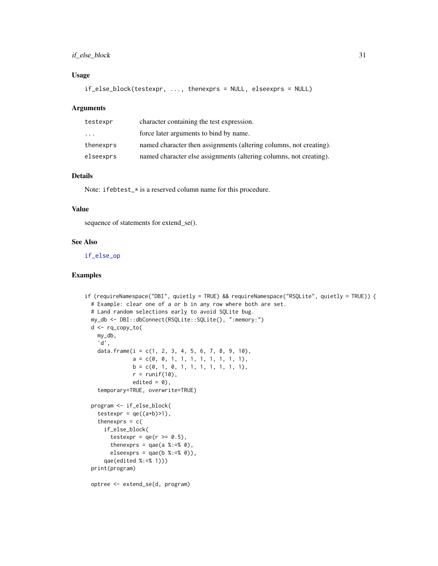# if\_else\_block 31

# Usage

```
if_else_block(testexpr, ..., thenexprs = NULL, elseexprs = NULL)
```
#### Arguments

| testexpr  | character containing the test expression.                          |
|-----------|--------------------------------------------------------------------|
| .         | force later arguments to bind by name.                             |
| thenexprs | named character then assignments (altering columns, not creating). |
| elseexprs | named character else assignments (altering columns, not creating). |

# Details

Note: ifebtest\_\* is a reserved column name for this procedure.

# Value

sequence of statements for extend\_se().

#### See Also

[if\\_else\\_op](#page-31-1)

### Examples

```
if (requireNamespace("DBI", quietly = TRUE) && requireNamespace("RSQLite", quietly = TRUE)) {
 # Example: clear one of a or b in any row where both are set.
 # Land random selections early to avoid SQLite bug.
 my_db <- DBI::dbConnect(RSQLite::SQLite(), ":memory:")
 d <- rq_copy_to(
   my_db,
   'd',
   data.frame(i = c(1, 2, 3, 4, 5, 6, 7, 8, 9, 10),
               a = c(0, 0, 1, 1, 1, 1, 1, 1, 1, 1),b = c(0, 1, 0, 1, 1, 1, 1, 1, 1, 1),r = runif(10),
              edited = 0,
    temporary=TRUE, overwrite=TRUE)
 program <- if_else_block(
    testexpr = qe((a+b)=1),
   thenexprs = c(if_else_block(
       testexpr = qe(r \ge 0.5),
        thenexprs = qae(a %:= % 0),
        elseexprs = qae(b % := % 0),
     qae(edited %:=% 1)))
 print(program)
```
optree <- extend\_se(d, program)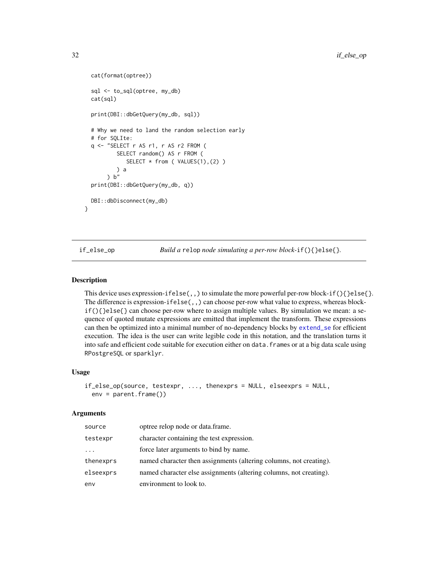```
cat(format(optree))
 sql <- to_sql(optree, my_db)
 cat(sql)
 print(DBI::dbGetQuery(my_db, sql))
 # Why we need to land the random selection early
 # for SQLIte:
 q <- "SELECT r AS r1, r AS r2 FROM (
          SELECT random() AS r FROM (
             SELECT * from ( VALUES(1),(2) )
         ) a
      ) b''print(DBI::dbGetQuery(my_db, q))
 DBI::dbDisconnect(my_db)
}
```
<span id="page-31-1"></span>

if\_else\_op *Build a* relop *node simulating a per-row block-*if(){}else{}*.*

#### Description

This device uses expression-ifelse(,,) to simulate the more powerful per-row block-if(){}else{}. The difference is expression-ifelse(,,) can choose per-row what value to express, whereas blockif(){}else{} can choose per-row where to assign multiple values. By simulation we mean: a sequence of quoted mutate expressions are emitted that implement the transform. These expressions can then be optimized into a minimal number of no-dependency blocks by [extend\\_se](#page-25-1) for efficient execution. The idea is the user can write legible code in this notation, and the translation turns it into safe and efficient code suitable for execution either on data.frames or at a big data scale using RPostgreSQL or sparklyr.

#### Usage

```
if_else_op(source, testexpr, ..., thenexprs = NULL, elseexprs = NULL,
 env = parent.frame())
```
#### Arguments

| source    | optree relop node or data.frame.                                   |
|-----------|--------------------------------------------------------------------|
| testexpr  | character containing the test expression.                          |
| $\cdots$  | force later arguments to bind by name.                             |
| thenexprs | named character then assignments (altering columns, not creating). |
| elseexprs | named character else assignments (altering columns, not creating). |
| env       | environment to look to.                                            |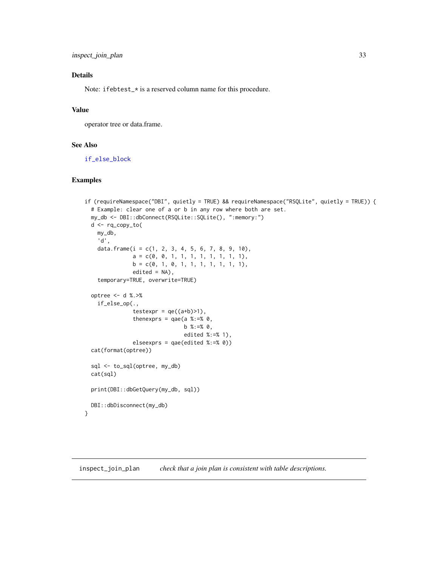# <span id="page-32-0"></span>Details

Note: ifebtest\_\* is a reserved column name for this procedure.

# Value

operator tree or data.frame.

# See Also

[if\\_else\\_block](#page-29-1)

# Examples

```
if (requireNamespace("DBI", quietly = TRUE) && requireNamespace("RSQLite", quietly = TRUE)) {
 # Example: clear one of a or b in any row where both are set.
 my_db <- DBI::dbConnect(RSQLite::SQLite(), ":memory:")
 d <- rq_copy_to(
   my_db,
    'd',
    data.frame(i = c(1, 2, 3, 4, 5, 6, 7, 8, 9, 10),
               a = c(0, 0, 1, 1, 1, 1, 1, 1, 1, 1),b = c(0, 1, 0, 1, 1, 1, 1, 1, 1, 1),edited = NA,
    temporary=TRUE, overwrite=TRUE)
 optree <- d %.>%
    if_else_op(.,
               testexpr = qe((a+b) > 1),
               thenexprs = qae(a %:=% 0,
                               b %:=% 0,
                               edited %:=% 1),
               elseexprs = qae(edited %:=% 0))
 cat(format(optree))
 sql <- to_sql(optree, my_db)
 cat(sql)
 print(DBI::dbGetQuery(my_db, sql))
 DBI::dbDisconnect(my_db)
}
```
<span id="page-32-1"></span>inspect\_join\_plan *check that a join plan is consistent with table descriptions.*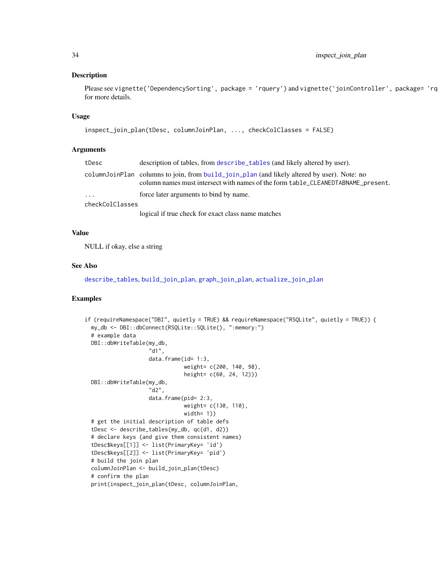#### Description

Please see vignette('DependencySorting', package = 'rquery') and vignette('joinController', package= 'rquery') for more details.

#### Usage

```
inspect_join_plan(tDesc, columnJoinPlan, ..., checkColClasses = FALSE)
```
# Arguments

| tDesc           | description of tables, from describe_tables (and likely altered by user).                                                                                                       |  |
|-----------------|---------------------------------------------------------------------------------------------------------------------------------------------------------------------------------|--|
|                 | columnJoinPlan columns to join, from build_join_plan (and likely altered by user). Note: no<br>column names must intersect with names of the form table_CLEANEDTABNAME_present. |  |
| $\cdots$        | force later arguments to bind by name.                                                                                                                                          |  |
| checkColClasses |                                                                                                                                                                                 |  |
|                 | logical if true check for exact class name matches                                                                                                                              |  |

# Value

NULL if okay, else a string

#### See Also

[describe\\_tables](#page-19-1), [build\\_join\\_plan](#page-12-1), [graph\\_join\\_plan](#page-28-1), [actualize\\_join\\_plan](#page-3-1)

```
if (requireNamespace("DBI", quietly = TRUE) && requireNamespace("RSQLite", quietly = TRUE)) {
 my_db <- DBI::dbConnect(RSQLite::SQLite(), ":memory:")
 # example data
 DBI::dbWriteTable(my_db,
                    "d1",
                    data.frame(id= 1:3,
                               weight= c(200, 140, 98),
                               height= c(60, 24, 12)))
 DBI::dbWriteTable(my_db,
                    "d2",
                    data.frame(pid= 2:3,
                               weight= c(130, 110),
                               width= 1))
 # get the initial description of table defs
 tDesc <- describe_tables(my_db, qc(d1, d2))
 # declare keys (and give them consistent names)
 tDesc$keys[[1]] <- list(PrimaryKey= 'id')
 tDesc$keys[[2]] <- list(PrimaryKey= 'pid')
 # build the join plan
 columnJoinPlan <- build_join_plan(tDesc)
 # confirm the plan
 print(inspect_join_plan(tDesc, columnJoinPlan,
```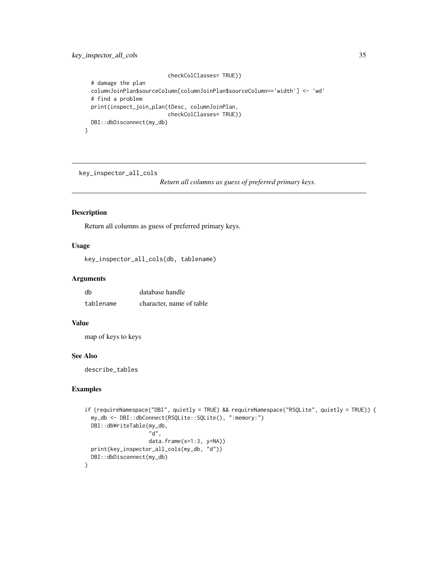```
checkColClasses= TRUE))
# damage the plan
columnJoinPlan$sourceColumn[columnJoinPlan$sourceColumn=='width'] <- 'wd'
# find a problem
print(inspect_join_plan(tDesc, columnJoinPlan,
                        checkColClasses= TRUE))
DBI::dbDisconnect(my_db)
```
key\_inspector\_all\_cols

*Return all columns as guess of preferred primary keys.*

# Description

}

Return all columns as guess of preferred primary keys.

# Usage

key\_inspector\_all\_cols(db, tablename)

# Arguments

| db        | database handle          |
|-----------|--------------------------|
| tablename | character, name of table |

# Value

map of keys to keys

#### See Also

describe\_tables

```
if (requireNamespace("DBI", quietly = TRUE) && requireNamespace("RSQLite", quietly = TRUE)) {
 my_db <- DBI::dbConnect(RSQLite::SQLite(), ":memory:")
 DBI::dbWriteTable(my_db,
                    "d",
                    data.frame(x=1:3, y=NA))
 print(key_inspector_all_cols(my_db, "d"))
 DBI::dbDisconnect(my_db)
}
```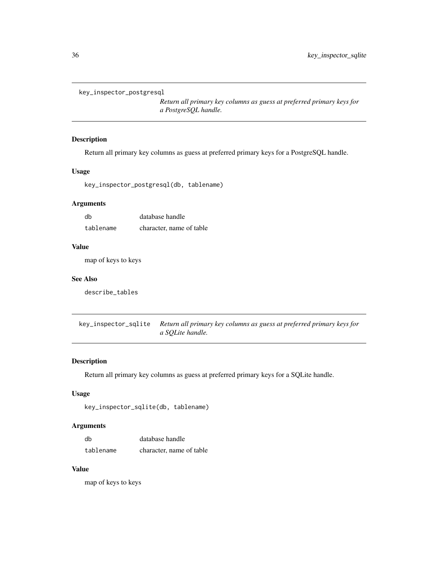```
key_inspector_postgresql
```
*Return all primary key columns as guess at preferred primary keys for a PostgreSQL handle.*

# Description

Return all primary key columns as guess at preferred primary keys for a PostgreSQL handle.

#### Usage

key\_inspector\_postgresql(db, tablename)

#### Arguments

| db        | database handle          |
|-----------|--------------------------|
| tablename | character, name of table |

#### Value

map of keys to keys

# See Also

describe\_tables

key\_inspector\_sqlite *Return all primary key columns as guess at preferred primary keys for a SQLite handle.*

# Description

Return all primary key columns as guess at preferred primary keys for a SQLite handle.

# Usage

```
key_inspector_sqlite(db, tablename)
```
#### Arguments

| db        | database handle          |
|-----------|--------------------------|
| tablename | character, name of table |

# Value

map of keys to keys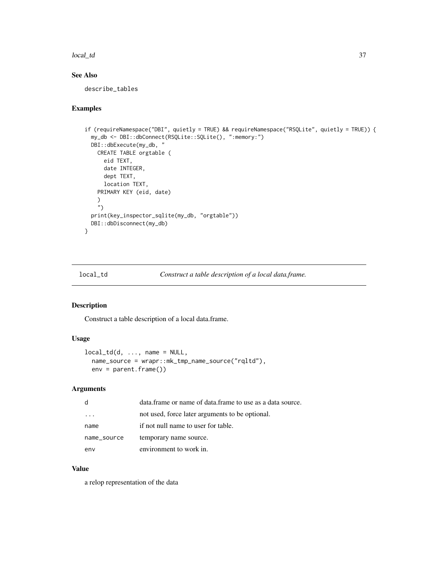#### local\_td 37

# See Also

describe\_tables

# Examples

```
if (requireNamespace("DBI", quietly = TRUE) && requireNamespace("RSQLite", quietly = TRUE)) {
  my_db <- DBI::dbConnect(RSQLite::SQLite(), ":memory:")
  DBI::dbExecute(my_db, "
    CREATE TABLE orgtable (
      eid TEXT,
      date INTEGER,
      dept TEXT,
      location TEXT,
    PRIMARY KEY (eid, date)
    )
    \left( \mathbf{r}^{\prime}\right)print(key_inspector_sqlite(my_db, "orgtable"))
  DBI::dbDisconnect(my_db)
}
```
<span id="page-36-0"></span>local\_td *Construct a table description of a local data.frame.*

### Description

Construct a table description of a local data.frame.

# Usage

```
local\_td(d, \ldots, \text{name} = \text{NULL},name_source = wrapr::mk_tmp_name_source("rqltd"),
  env = parent.frame())
```
# Arguments

| d           | data.frame or name of data.frame to use as a data source. |
|-------------|-----------------------------------------------------------|
|             | not used, force later arguments to be optional.           |
| name        | if not null name to user for table.                       |
| name_source | temporary name source.                                    |
| env         | environment to work in.                                   |

# Value

a relop representation of the data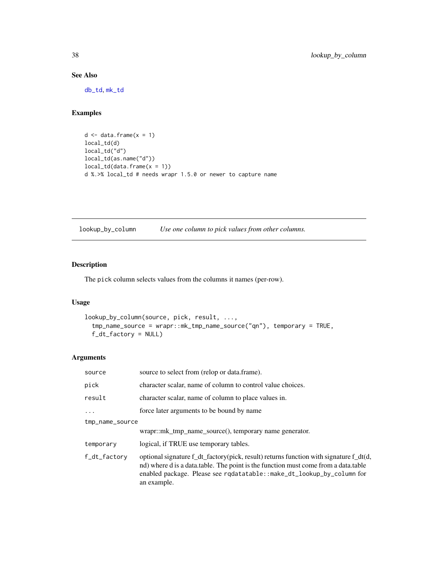# See Also

[db\\_td](#page-18-0), [mk\\_td](#page-45-0)

## Examples

```
d \leq - data.frame(x = 1)local_td(d)
local_td("d")
local_td(as.name("d"))
local_td(data.frame(x = 1))
d %.>% local_td # needs wrapr 1.5.0 or newer to capture name
```
lookup\_by\_column *Use one column to pick values from other columns.*

# Description

The pick column selects values from the columns it names (per-row).

# Usage

```
lookup_by_column(source, pick, result, ...,
  tmp_name_source = wrapr::mk_tmp_name_source("qn"), temporary = TRUE,
 f_dt_factory = NULL)
```
# Arguments

| source          | source to select from (relop or data.frame).                                                                                                                                                                                                                        |  |
|-----------------|---------------------------------------------------------------------------------------------------------------------------------------------------------------------------------------------------------------------------------------------------------------------|--|
| pick            | character scalar, name of column to control value choices.                                                                                                                                                                                                          |  |
| result          | character scalar, name of column to place values in.                                                                                                                                                                                                                |  |
| .               | force later arguments to be bound by name                                                                                                                                                                                                                           |  |
| tmp_name_source |                                                                                                                                                                                                                                                                     |  |
|                 | $w$ rapr::mk tmp name source $($ ), temporary name generator.                                                                                                                                                                                                       |  |
| temporary       | logical, if TRUE use temporary tables.                                                                                                                                                                                                                              |  |
| f_dt_factory    | optional signature f_dt_factory(pick, result) returns function with signature f_dt(d,<br>nd) where d is a data.table. The point is the function must come from a data.table<br>enabled package. Please see rqdatatable::make_dt_lookup_by_column for<br>an example. |  |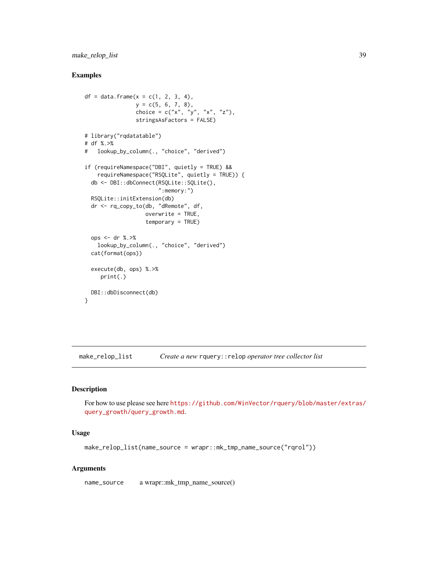make\_relop\_list 39

# Examples

```
df = data. frame(x = c(1, 2, 3, 4),
                y = c(5, 6, 7, 8),choice = c("x", "y", "x", "z"),stringsAsFactors = FALSE)
# library("rqdatatable")
# df %.>%
# lookup_by_column(., "choice", "derived")
if (requireNamespace("DBI", quietly = TRUE) &&
   requireNamespace("RSQLite", quietly = TRUE)) {
  db <- DBI::dbConnect(RSQLite::SQLite(),
                       ":memory:")
  RSQLite::initExtension(db)
  dr <- rq_copy_to(db, "dRemote", df,
                   overwrite = TRUE,
                   temporary = TRUE)
  ops <- dr %.>%
   lookup_by_column(., "choice", "derived")
  cat(format(ops))
  execute(db, ops) %.>%
     print(.)
  DBI::dbDisconnect(db)
}
```
<span id="page-38-0"></span>make\_relop\_list *Create a new* rquery::relop *operator tree collector list*

## Description

For how to use please see here [https://github.com/WinVector/rquery/blob/master/extras/](https://github.com/WinVector/rquery/blob/master/extras/query_growth/query_growth.md) [query\\_growth/query\\_growth.md](https://github.com/WinVector/rquery/blob/master/extras/query_growth/query_growth.md).

#### Usage

```
make_relop_list(name_source = wrapr::mk_tmp_name_source("rqrol"))
```
## Arguments

name\_source a wrapr::mk\_tmp\_name\_source()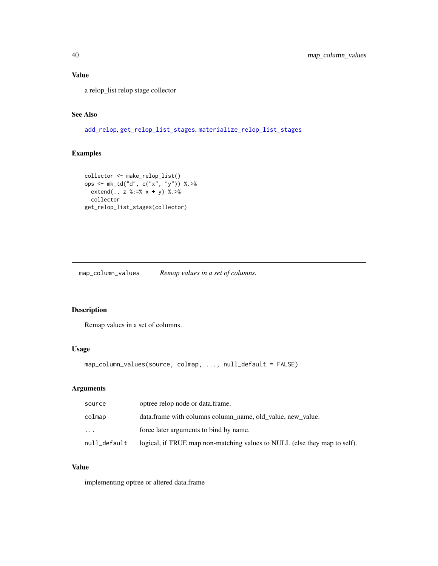# Value

a relop\_list relop stage collector

# See Also

[add\\_relop](#page-4-0), [get\\_relop\\_list\\_stages](#page-27-0), [materialize\\_relop\\_list\\_stages](#page-43-0)

# Examples

```
collector <- make_relop_list()
ops <- mk_td("d", c("x", "y")) %.>%
 extend(., z %:=% x + y) %.>%
  collector
get_relop_list_stages(collector)
```
map\_column\_values *Remap values in a set of columns.*

# Description

Remap values in a set of columns.

# Usage

```
map_column_values(source, colmap, ..., null_default = FALSE)
```
# Arguments

| source       | optree relop node or data frame.                                          |
|--------------|---------------------------------------------------------------------------|
| colmap       | data.frame with columns column_name, old_value, new_value.                |
| $\cdots$     | force later arguments to bind by name.                                    |
| null_default | logical, if TRUE map non-matching values to NULL (else they map to self). |

## Value

implementing optree or altered data.frame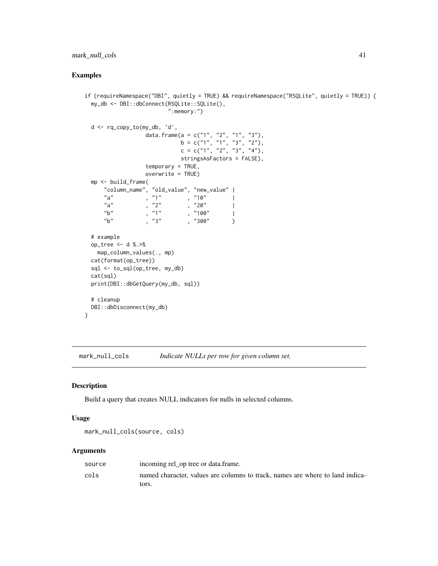## mark\_null\_cols 41

# Examples

```
if (requireNamespace("DBI", quietly = TRUE) && requireNamespace("RSQLite", quietly = TRUE)) {
 my_db <- DBI::dbConnect(RSQLite::SQLite(),
                       ":memory:")
 d <- rq_copy_to(my_db, 'd',
                data.frame(a = c("1", "2", "1", "3"),
                         b = c("1", "1", "3", "2"),c = c("1", "2", "3", "4")stringsAsFactors = FALSE),
                temporary = TRUE,
                overwrite = TRUE)
 mp <- build_frame(
     "column_name", "old_value", "new_value" |
     "a" , "1" , "10""a", "2", "20"\sqrt[n]{b} , "1" , "100" |
     "b" , "3" , "300" )
 # example
 op_tree <- d %.>%
   map_column_values(., mp)
 cat(format(op_tree))
 sql <- to_sql(op_tree, my_db)
 cat(sql)
 print(DBI::dbGetQuery(my_db, sql))
 # cleanup
 DBI::dbDisconnect(my_db)
}
```
<span id="page-40-0"></span>mark\_null\_cols *Indicate NULLs per row for given column set.*

## Description

Build a query that creates NULL indicators for nulls in selected columns.

#### Usage

```
mark_null_cols(source, cols)
```
### Arguments

| source | incoming rel_op tree or data.frame.                                           |
|--------|-------------------------------------------------------------------------------|
| cols   | named character, values are columns to track, names are where to land indica- |
|        | tors.                                                                         |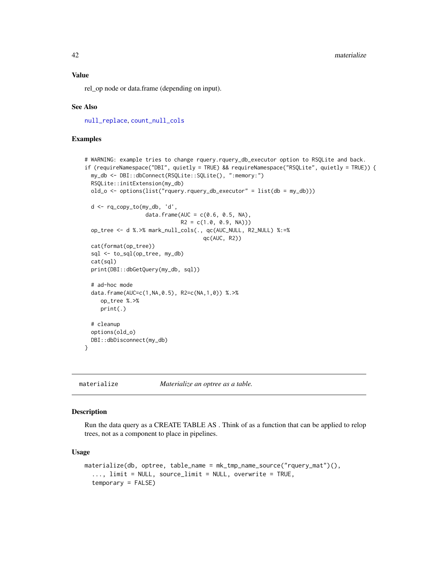### Value

rel\_op node or data.frame (depending on input).

### See Also

[null\\_replace](#page-50-0), [count\\_null\\_cols](#page-17-0)

### Examples

```
# WARNING: example tries to change rquery.rquery_db_executor option to RSQLite and back.
if (requireNamespace("DBI", quietly = TRUE) && requireNamespace("RSQLite", quietly = TRUE)) {
 my_db <- DBI::dbConnect(RSQLite::SQLite(), ":memory:")
 RSQLite::initExtension(my_db)
 old_o <- options(list("rquery.rquery_db_executor" = list(db = my_db)))
 d <- rq_copy_to(my_db, 'd',
                   data.frame(AUC = c(0.6, 0.5, NA),
                              R2 = c(1.0, 0.9, NA))op_tree <- d %.>% mark_null_cols(., qc(AUC_NULL, R2_NULL) %:=%
                                     qc(AUC, R2))
 cat(format(op_tree))
 sql <- to_sql(op_tree, my_db)
 cat(sql)
 print(DBI::dbGetQuery(my_db, sql))
 # ad-hoc mode
 data.frame(AUC=c(1,NA,0.5), R2=c(NA,1,0)) %.>%
     op_tree %.>%
     print(.)
 # cleanup
 options(old_o)
 DBI::dbDisconnect(my_db)
}
```
<span id="page-41-0"></span>materialize *Materialize an optree as a table.*

#### Description

Run the data query as a CREATE TABLE AS . Think of as a function that can be applied to relop trees, not as a component to place in pipelines.

### Usage

```
materialize(db, optree, table_name = mk_tmp_name_source("rquery_mat")(),
  ..., limit = NULL, source_limit = NULL, overwrite = TRUE,
  temporary = FALSE)
```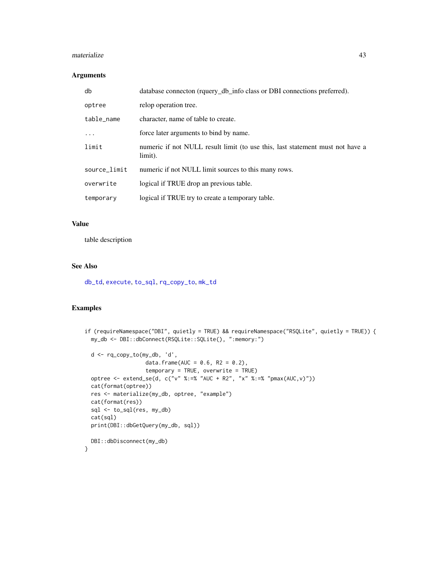#### materialize 43

## Arguments

| db           | database connecton (rquery_db_info class or DBI connections preferred).                  |
|--------------|------------------------------------------------------------------------------------------|
| optree       | relop operation tree.                                                                    |
| table_name   | character, name of table to create.                                                      |
| $\cdot$      | force later arguments to bind by name.                                                   |
| limit        | numeric if not NULL result limit (to use this, last statement must not have a<br>limit). |
| source_limit | numeric if not NULL limit sources to this many rows.                                     |
| overwrite    | logical if TRUE drop an previous table.                                                  |
| temporary    | logical if TRUE try to create a temporary table.                                         |

# Value

table description

### See Also

[db\\_td](#page-18-0), [execute](#page-22-0), [to\\_sql](#page-91-0), [rq\\_copy\\_to](#page-71-0), [mk\\_td](#page-45-0)

```
if (requireNamespace("DBI", quietly = TRUE) && requireNamespace("RSQLite", quietly = TRUE)) {
 my_db <- DBI::dbConnect(RSQLite::SQLite(), ":memory:")
 d <- rq_copy_to(my_db, 'd',
                  data.frame(AUC = 0.6, R2 = 0.2),
                  temporary = TRUE, overwrite = TRUE)
 optree <- extend_se(d, c("v" %:=% "AUC + R2", "x" %:=% "pmax(AUC,v)"))
 cat(format(optree))
 res <- materialize(my_db, optree, "example")
 cat(format(res))
 sql <- to_sql(res, my_db)
 cat(sql)
 print(DBI::dbGetQuery(my_db, sql))
 DBI::dbDisconnect(my_db)
}
```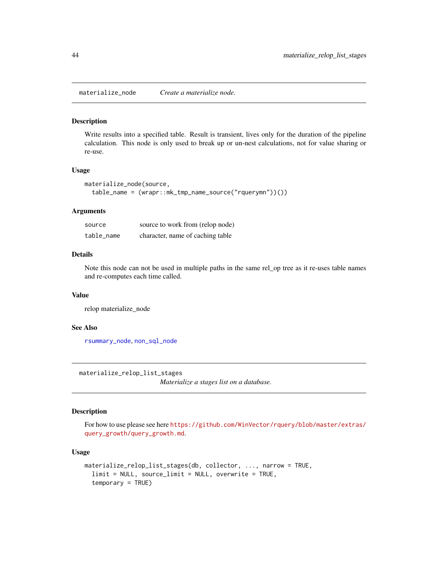materialize\_node *Create a materialize node.*

#### Description

Write results into a specified table. Result is transient, lives only for the duration of the pipeline calculation. This node is only used to break up or un-nest calculations, not for value sharing or re-use.

#### Usage

```
materialize_node(source,
  table_name = (wrapr::mk_tmp_name_source("rquerymn"))())
```
#### **Arguments**

| source     | source to work from (relop node) |
|------------|----------------------------------|
| table name | character, name of caching table |

#### Details

Note this node can not be used in multiple paths in the same rel\_op tree as it re-uses table names and re-computes each time called.

## Value

relop materialize\_node

#### See Also

[rsummary\\_node](#page-77-0), [non\\_sql\\_node](#page-47-0)

<span id="page-43-0"></span>materialize\_relop\_list\_stages

*Materialize a stages list on a database.*

### Description

For how to use please see here [https://github.com/WinVector/rquery/blob/master/extras/](https://github.com/WinVector/rquery/blob/master/extras/query_growth/query_growth.md) [query\\_growth/query\\_growth.md](https://github.com/WinVector/rquery/blob/master/extras/query_growth/query_growth.md).

### Usage

```
materialize_relop_list_stages(db, collector, ..., narrow = TRUE,
  limit = NULL, source_limit = NULL, overwrite = TRUE,
  temporary = TRUE)
```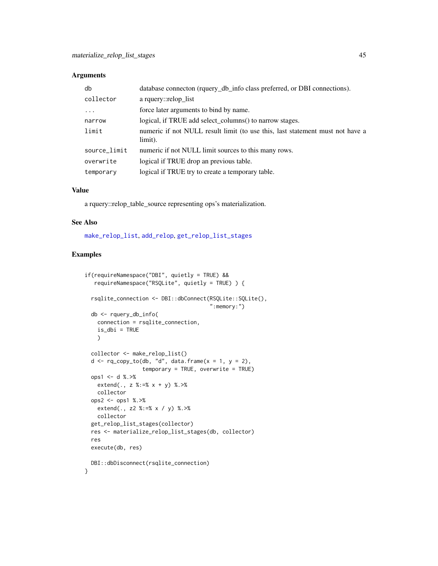### Arguments

| db           | database connecton (rquery_db_info class preferred, or DBI connections).                 |
|--------------|------------------------------------------------------------------------------------------|
| collector    | a rquery::relop list                                                                     |
| $\ddots$ .   | force later arguments to bind by name.                                                   |
| narrow       | logical, if TRUE add select_columns() to narrow stages.                                  |
| limit        | numeric if not NULL result limit (to use this, last statement must not have a<br>limit). |
| source_limit | numeric if not NULL limit sources to this many rows.                                     |
| overwrite    | logical if TRUE drop an previous table.                                                  |
| temporary    | logical if TRUE try to create a temporary table.                                         |

#### Value

a rquery::relop\_table\_source representing ops's materialization.

#### See Also

[make\\_relop\\_list](#page-38-0), [add\\_relop](#page-4-0), [get\\_relop\\_list\\_stages](#page-27-0)

```
if(requireNamespace("DBI", quietly = TRUE) &&
  requireNamespace("RSQLite", quietly = TRUE) ) {
 rsqlite_connection <- DBI::dbConnect(RSQLite::SQLite(),
                                       ":memory:")
 db <- rquery_db_info(
   connection = rsqlite_connection,
   is_dbi = TRUE
   )
 collector <- make_relop_list()
 d \leq rq\_copy\_to(db, "d", data-frame(x = 1, y = 2),temporary = TRUE, overwrite = TRUE)
 ops1 <- d %.>%
   extend(., z %:=% x + y) %.>%
   collector
 ops2 <- ops1 %.>%
   extend(., z2 %:=% x / y) %.>%
   collector
 get_relop_list_stages(collector)
 res <- materialize_relop_list_stages(db, collector)
 res
 execute(db, res)
 DBI::dbDisconnect(rsqlite_connection)
}
```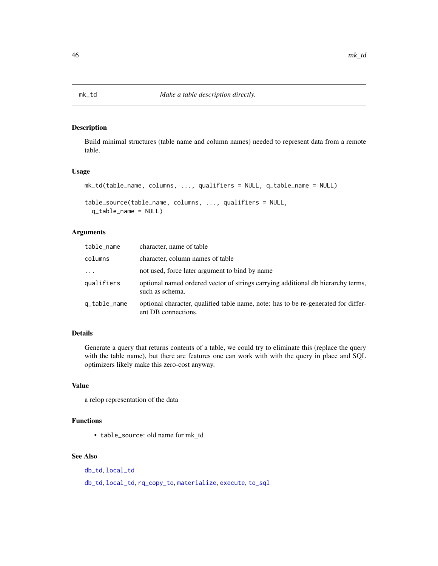<span id="page-45-0"></span>

Build minimal structures (table name and column names) needed to represent data from a remote table.

#### Usage

```
mk_td(table_name, columns, ..., qualifiers = NULL, q_table_name = NULL)
table_source(table_name, columns, ..., qualifiers = NULL,
  q_table_name = NULL)
```
# Arguments

| table_name   | character, name of table                                                                                  |
|--------------|-----------------------------------------------------------------------------------------------------------|
| columns      | character, column names of table                                                                          |
| $\ddots$ .   | not used, force later argument to bind by name                                                            |
| qualifiers   | optional named ordered vector of strings carrying additional db hierarchy terms,<br>such as schema.       |
| q_table_name | optional character, qualified table name, note: has to be re-generated for differ-<br>ent DB connections. |

# Details

Generate a query that returns contents of a table, we could try to eliminate this (replace the query with the table name), but there are features one can work with with the query in place and SQL optimizers likely make this zero-cost anyway.

# Value

a relop representation of the data

# Functions

• table\_source: old name for mk\_td

# See Also

[db\\_td](#page-18-0), [local\\_td](#page-36-0) [db\\_td](#page-18-0), [local\\_td](#page-36-0), [rq\\_copy\\_to](#page-71-0), [materialize](#page-41-0), [execute](#page-22-0), [to\\_sql](#page-91-0)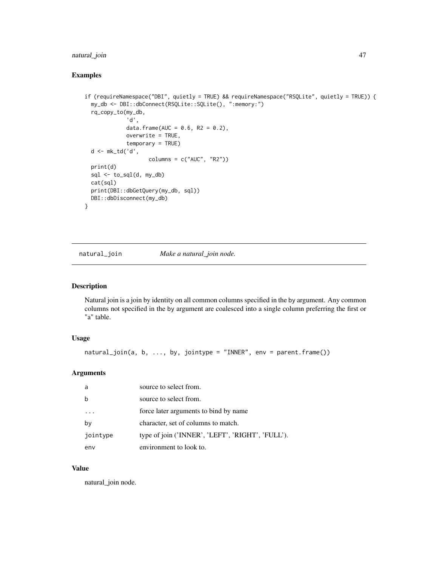# natural\_join 47

# Examples

```
if (requireNamespace("DBI", quietly = TRUE) && requireNamespace("RSQLite", quietly = TRUE)) {
 my_db <- DBI::dbConnect(RSQLite::SQLite(), ":memory:")
 rq_copy_to(my_db,
             'd',
             data.frame(AUC = 0.6, R2 = 0.2),
             overwrite = TRUE,
             temporary = TRUE)
 d <- mk_td('d',
                    columns = c("AUC", "R2"))
 print(d)
 sql \leftarrow to_sql(d, my_db)cat(sql)
 print(DBI::dbGetQuery(my_db, sql))
 DBI::dbDisconnect(my_db)
}
```
natural\_join *Make a natural\_join node.*

### Description

Natural join is a join by identity on all common columns specified in the by argument. Any common columns not specified in the by argument are coalesced into a single column preferring the first or "a" table.

## Usage

```
natural_join(a, b, ..., by, jointype = "INNER", env = parent.frame())
```
## Arguments

| a        | source to select from.                           |
|----------|--------------------------------------------------|
| h        | source to select from.                           |
|          | force later arguments to bind by name            |
| by       | character, set of columns to match.              |
| jointype | type of join ('INNER', 'LEFT', 'RIGHT', 'FULL'). |
| env      | environment to look to.                          |

## Value

natural\_join node.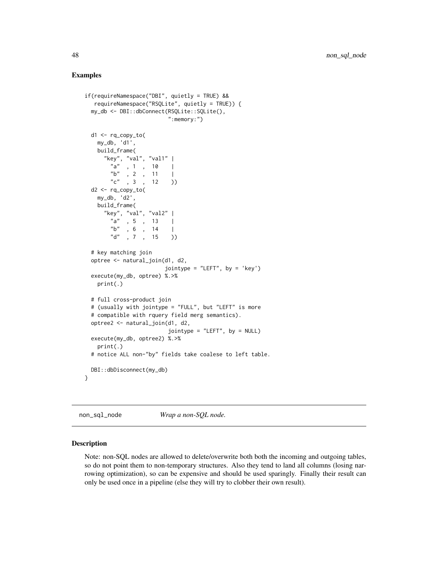### Examples

```
if(requireNamespace("DBI", quietly = TRUE) &&
  requireNamespace("RSQLite", quietly = TRUE)) {
 my_db <- DBI::dbConnect(RSQLite::SQLite(),
                         ":memory:")
 d1 <- rq_copy_to(
   my_db, 'd1',
   build_frame(
     "key", "val", "val1" |
        "a" , 1 , 10 |
        "b" , 2 , 11 |
        "c", 3, 12 )
 d2 < -rq_{copy_to}my_db, 'd2',
   build_frame(
     "key", "val", "val2" |
        "a", 5, 13 |
        "b" , 6 , 14 |
       "d" , 7 , 15 )
 # key matching join
 optree <- natural_join(d1, d2,
                        jointype = "LEFT", by = 'key')
 execute(my_db, optree) %.>%
   print(.)
 # full cross-product join
 # (usually with jointype = "FULL", but "LEFT" is more
 # compatible with rquery field merg semantics).
 optree2 <- natural_join(d1, d2,
                         jointype = "LEFT", by = NULL)
 execute(my_db, optree2) %.>%
   print(.)
 # notice ALL non-"by" fields take coalese to left table.
 DBI::dbDisconnect(my_db)
}
```
<span id="page-47-0"></span>non\_sql\_node *Wrap a non-SQL node.*

### Description

Note: non-SQL nodes are allowed to delete/overwrite both both the incoming and outgoing tables, so do not point them to non-temporary structures. Also they tend to land all columns (losing narrowing optimization), so can be expensive and should be used sparingly. Finally their result can only be used once in a pipeline (else they will try to clobber their own result).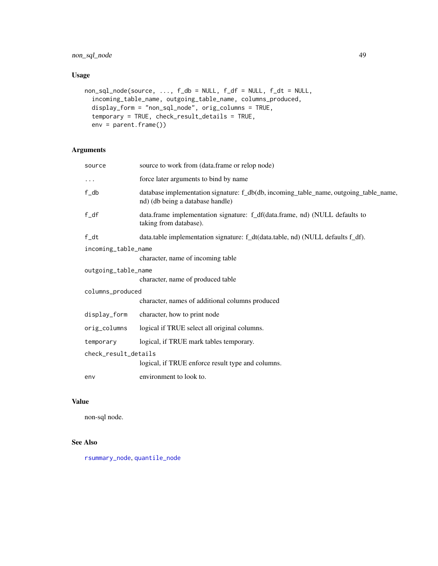# non\_sql\_node 49

# Usage

```
non\_sql\_node(source, ..., f_db = NULL, f_df = NULL, f_dt = NULL,incoming_table_name, outgoing_table_name, columns_produced,
  display_form = "non_sql_node", orig_columns = TRUE,
  temporary = TRUE, check_result_details = TRUE,
  env = parent.frame())
```
# Arguments

| source               | source to work from (data.frame or relop node)                                                                            |  |
|----------------------|---------------------------------------------------------------------------------------------------------------------------|--|
| $\cdots$             | force later arguments to bind by name                                                                                     |  |
| f_db                 | database implementation signature: f_db(db, incoming_table_name, outgoing_table_name,<br>nd) (db being a database handle) |  |
| $f_d$                | data.frame implementation signature: f_df(data.frame, nd) (NULL defaults to<br>taking from database).                     |  |
| f/dt                 | data.table implementation signature: f_dt(data.table, nd) (NULL defaults f_df).                                           |  |
| incoming_table_name  |                                                                                                                           |  |
|                      | character, name of incoming table                                                                                         |  |
| outgoing_table_name  |                                                                                                                           |  |
|                      | character, name of produced table                                                                                         |  |
| columns_produced     |                                                                                                                           |  |
|                      | character, names of additional columns produced                                                                           |  |
| display_form         | character, how to print node                                                                                              |  |
| orig_columns         | logical if TRUE select all original columns.                                                                              |  |
| temporary            | logical, if TRUE mark tables temporary.                                                                                   |  |
| check_result_details |                                                                                                                           |  |
|                      | logical, if TRUE enforce result type and columns.                                                                         |  |
| env                  | environment to look to.                                                                                                   |  |

## Value

non-sql node.

# See Also

[rsummary\\_node](#page-77-0), [quantile\\_node](#page-59-0)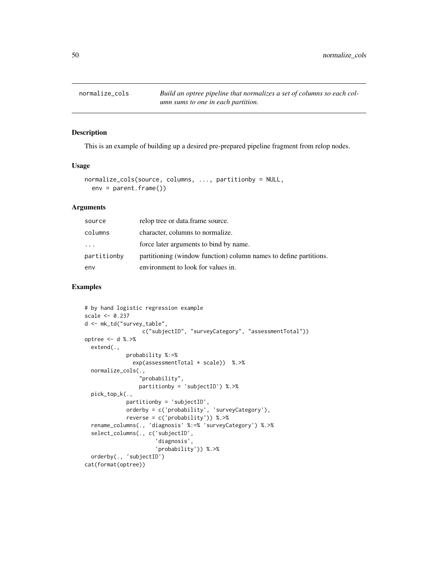normalize\_cols *Build an optree pipeline that normalizes a set of columns so each column sums to one in each partition.*

#### Description

This is an example of building up a desired pre-prepared pipeline fragment from relop nodes.

#### Usage

```
normalize_cols(source, columns, ..., partitionby = NULL,
  env = parent.frame())
```
## **Arguments**

| source      | relop tree or data.frame source.                                  |
|-------------|-------------------------------------------------------------------|
| columns     | character, columns to normalize.                                  |
| $\cdot$     | force later arguments to bind by name.                            |
| partitionby | partitioning (window function) column names to define partitions. |
| env         | environment to look for values in.                                |

```
# by hand logistic regression example
scale <- 0.237
d <- mk_td("survey_table",
                  c("subjectID", "surveyCategory", "assessmentTotal"))
optree <- d %.>%
 extend(.,
            probability %:=%
               exp(assessmentTotal * scale)) %.>%
 normalize_cols(.,
                 "probability",
                partitionby = 'subjectID') %.>%
 pick_top_k(.,
             partitionby = 'subjectID',
             orderby = c('probability', 'surveyCategory'),
             reverse = c('probability')) %.>%
 rename_columns(., 'diagnosis' %:=% 'surveyCategory') %.>%
 select_columns(., c('subjectID',
                      'diagnosis',
                      'probability')) %.>%
 orderby(., 'subjectID')
cat(format(optree))
```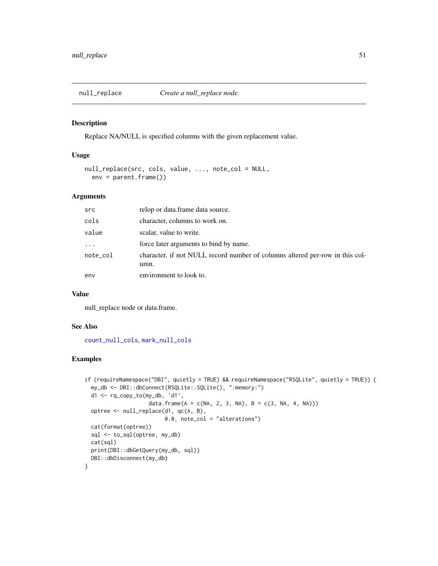<span id="page-50-0"></span>

Replace NA/NULL is specified columns with the given replacement value.

### Usage

```
null_replace(src, cols, value, ..., note_col = NULL,
  env = parent.frame())
```
# Arguments

| src                     | relop or data.frame data source.                                                     |
|-------------------------|--------------------------------------------------------------------------------------|
| cols                    | character, columns to work on.                                                       |
| value                   | scalar, value to write.                                                              |
| $\cdot$ $\cdot$ $\cdot$ | force later arguments to bind by name.                                               |
| note_col                | character, if not NULL record number of columns altered per-row in this col-<br>umn. |
| env                     | environment to look to.                                                              |

## Value

null\_replace node or data.frame.

### See Also

[count\\_null\\_cols](#page-17-0), [mark\\_null\\_cols](#page-40-0)

```
if (requireNamespace("DBI", quietly = TRUE) && requireNamespace("RSQLite", quietly = TRUE)) {
 my_db <- DBI::dbConnect(RSQLite::SQLite(), ":memory:")
 d1 <- rq_copy_to(my_db, 'd1',
                    data.frame(A = c(NA, 2, 3, NA), B = c(3, NA, 4, NA)))
 optree <- null_replace(d1, qc(A, B),
                         0.0, note_col = "alterations")
 cat(format(optree))
 sql <- to_sql(optree, my_db)
 cat(sql)
 print(DBI::dbGetQuery(my_db, sql))
 DBI::dbDisconnect(my_db)
}
```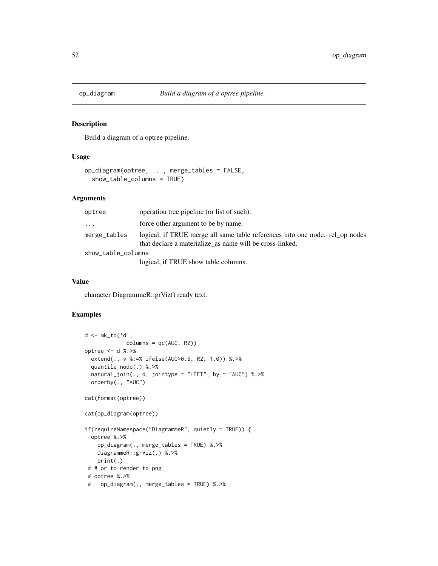Build a diagram of a optree pipeline.

## Usage

```
op_diagram(optree, ..., merge_tables = FALSE,
  show_table_columns = TRUE)
```
#### Arguments

| optree             | operation tree pipeline (or list of such).                                                                                               |
|--------------------|------------------------------------------------------------------------------------------------------------------------------------------|
| $\ddots$           | force other argument to be by name.                                                                                                      |
| merge_tables       | logical, if TRUE merge all same table references into one node, rel op nodes<br>that declare a materialize_as name will be cross-linked. |
| show_table_columns |                                                                                                                                          |
|                    | logical, if TRUE show table columns.                                                                                                     |

#### Value

character DiagrammeR::grViz() ready text.

```
d <- mk_td('d',
            columns = qc(AUC, R2))optree <- d %.>%
  extend(., v %:=% ifelse(AUC>0.5, R2, 1.0)) %.>%
  quantile_node(.) %.>%
  natural\_join(., d, jointype = "LEFT", by = "AUC") % . > %orderby(., "AUC")
cat(format(optree))
cat(op_diagram(optree))
if(requireNamespace("DiagrammeR", quietly = TRUE)) {
  optree %.>%
    op_diagram(., merge_tables = TRUE) %.>%
   DiagrammeR::grViz(.) %.>%
   print(.)
 # # or to render to png
 # optree %.>%
 # op_diagram(., merge_tables = TRUE) %.>%
```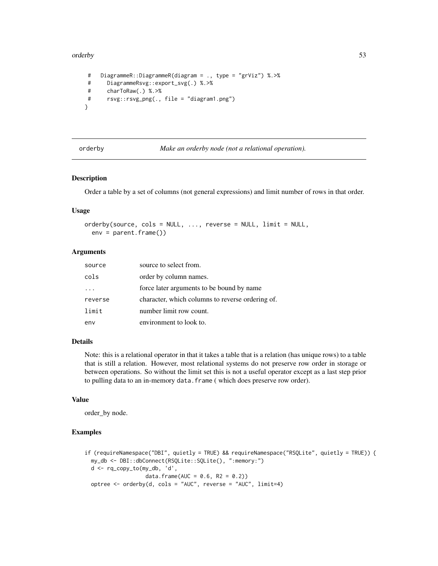#### orderby 53

```
# DiagrammeR::DiagrammeR(diagram = ., type = "grViz") %.>%
# DiagrammeRsvg::export_svg(.) %.>%
# charToRaw(.) %.>%
# rsvg::rsvg_png(., file = "diagram1.png")
}
```

```
orderby Make an orderby node (not a relational operation).
```
#### Description

Order a table by a set of columns (not general expressions) and limit number of rows in that order.

#### Usage

```
orderby(source, cols = NULL, ..., reverse = NULL, limit = NULL,env = parent.frame())
```
### Arguments

| source  | source to select from.                           |
|---------|--------------------------------------------------|
| cols    | order by column names.                           |
|         | force later arguments to be bound by name        |
| reverse | character, which columns to reverse ordering of. |
| limit   | number limit row count.                          |
| env     | environment to look to.                          |

#### Details

Note: this is a relational operator in that it takes a table that is a relation (has unique rows) to a table that is still a relation. However, most relational systems do not preserve row order in storage or between operations. So without the limit set this is not a useful operator except as a last step prior to pulling data to an in-memory data.frame ( which does preserve row order).

### Value

order\_by node.

```
if (requireNamespace("DBI", quietly = TRUE) && requireNamespace("RSQLite", quietly = TRUE)) {
 my_db <- DBI::dbConnect(RSQLite::SQLite(), ":memory:")
 d <- rq_copy_to(my_db, 'd',
                  data.frame(AUC = 0.6, R2 = 0.2))
 optree <- orderby(d, cols = "AUC", reverse = "AUC", limit=4)
```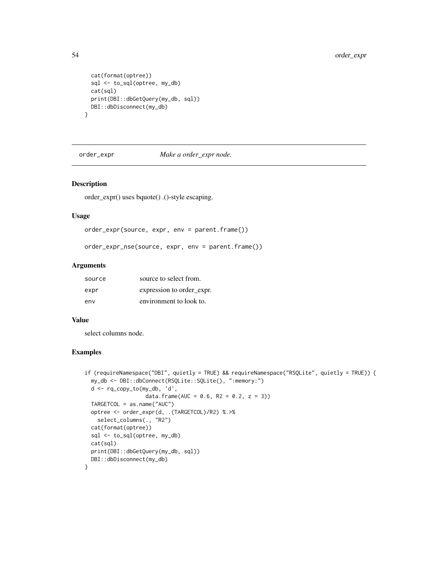```
cat(format(optree))
 sql <- to_sql(optree, my_db)
 cat(sql)
 print(DBI::dbGetQuery(my_db, sql))
 DBI::dbDisconnect(my_db)
}
```
order\_expr *Make a order\_expr node.*

### Description

order\_expr() uses bquote() .()-style escaping.

## Usage

```
order_expr(source, expr, env = parent.frame())
```
order\_expr\_nse(source, expr, env = parent.frame())

## Arguments

| source | source to select from.    |
|--------|---------------------------|
| expr   | expression to order expr. |
| env    | environment to look to.   |

### Value

select columns node.

```
if (requireNamespace("DBI", quietly = TRUE) && requireNamespace("RSQLite", quietly = TRUE)) {
 my_db <- DBI::dbConnect(RSQLite::SQLite(), ":memory:")
 d <- rq_copy_to(my_db, 'd',
                   data.frame(AUC = 0.6, R2 = 0.2, z = 3))
 TARGETCOL = as.name("AUC")
 optree <- order_expr(d, .(TARGETCOL)/R2) %.>%
   select_columns(., "R2")
 cat(format(optree))
 sql <- to_sql(optree, my_db)
 cat(sql)
 print(DBI::dbGetQuery(my_db, sql))
 DBI::dbDisconnect(my_db)
}
```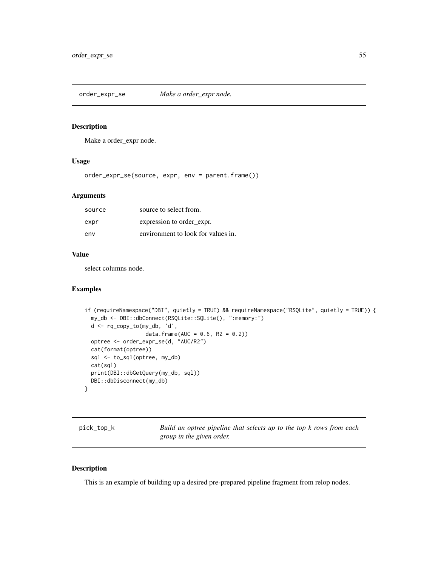order\_expr\_se *Make a order\_expr node.*

## Description

Make a order\_expr node.

## Usage

order\_expr\_se(source, expr, env = parent.frame())

## Arguments

| source | source to select from.             |
|--------|------------------------------------|
| expr   | expression to order expr.          |
| env    | environment to look for values in. |

#### Value

select columns node.

# Examples

```
if (requireNamespace("DBI", quietly = TRUE) && requireNamespace("RSQLite", quietly = TRUE)) {
 my_db <- DBI::dbConnect(RSQLite::SQLite(), ":memory:")
 d <- rq_copy_to(my_db, 'd',
                  data.frame(AUC = 0.6, R2 = 0.2))
 optree <- order_expr_se(d, "AUC/R2")
 cat(format(optree))
 sql <- to_sql(optree, my_db)
 cat(sql)
 print(DBI::dbGetQuery(my_db, sql))
 DBI::dbDisconnect(my_db)
}
```

| pick_top_k |  | Build an optree pipeline that selects up to the top k rows from each |  |  |  |  |  |
|------------|--|----------------------------------------------------------------------|--|--|--|--|--|
|            |  | group in the given order.                                            |  |  |  |  |  |

## Description

This is an example of building up a desired pre-prepared pipeline fragment from relop nodes.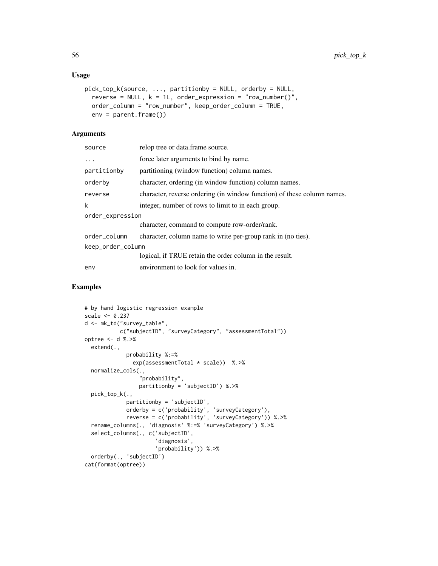## Usage

```
pick_top_k(source, ..., partitionby = NULL, orderby = NULL,
  reverse = NULL, k = 1L, order_expression = "row_number()",
 order_column = "row_number", keep_order_column = TRUE,
 env = parent.frame())
```
# Arguments

| source            | relop tree or data.frame source.                                        |
|-------------------|-------------------------------------------------------------------------|
| $\cdots$          | force later arguments to bind by name.                                  |
| partitionby       | partitioning (window function) column names.                            |
| orderby           | character, ordering (in window function) column names.                  |
| reverse           | character, reverse ordering (in window function) of these column names. |
| k                 | integer, number of rows to limit to in each group.                      |
| order_expression  |                                                                         |
|                   | character, command to compute row-order/rank.                           |
| order_column      | character, column name to write per-group rank in (no ties).            |
| keep_order_column |                                                                         |
|                   | logical, if TRUE retain the order column in the result.                 |
| env               | environment to look for values in.                                      |
|                   |                                                                         |

```
# by hand logistic regression example
scale <- 0.237
d <- mk_td("survey_table",
           c("subjectID", "surveyCategory", "assessmentTotal"))
optree <- d %.>%
  extend(.,
             probability %:=%
               exp(assessmentTotal * scale)) %.>%
  normalize_cols(.,
                 "probability",
                 partitionby = 'subjectID') %.>%
  pick_top_k(.,
             partitionby = 'subjectID',
             orderby = c('probability', 'surveyCategory'),
             reverse = c('probability', 'surveyCategory')) %.>%
  rename_columns(., 'diagnosis' %:=% 'surveyCategory') %.>%
  select_columns(., c('subjectID',
                      'diagnosis',
                      'probability')) %.>%
  orderby(., 'subjectID')
cat(format(optree))
```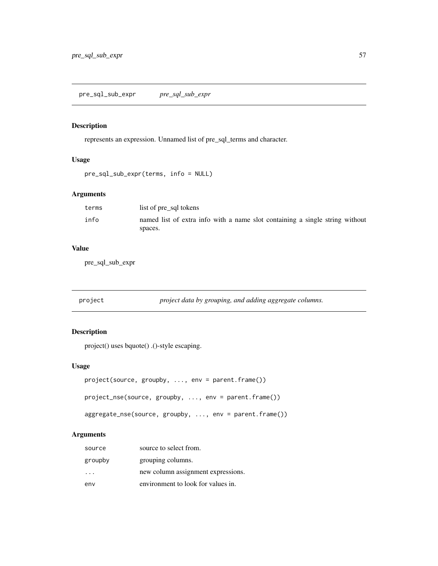represents an expression. Unnamed list of pre\_sql\_terms and character.

# Usage

```
pre_sql_sub_expr(terms, info = NULL)
```
# Arguments

| terms | list of pre sql tokens                                                       |
|-------|------------------------------------------------------------------------------|
| info  | named list of extra info with a name slot containing a single string without |
|       | spaces.                                                                      |

# Value

pre\_sql\_sub\_expr

| project | project data by grouping, and adding aggregate columns. |
|---------|---------------------------------------------------------|
|         |                                                         |

# Description

project() uses bquote() .()-style escaping.

# Usage

```
project(source, groupby, ..., env = parent.frame())
project_nse(source, groupby, ..., env = parent.frame())
aggregate_nse(source, groupby, ..., env = parent.frame())
```
# Arguments

| source   | source to select from.             |
|----------|------------------------------------|
| groupby  | grouping columns.                  |
| $\cdots$ | new column assignment expressions. |
| env      | environment to look for values in. |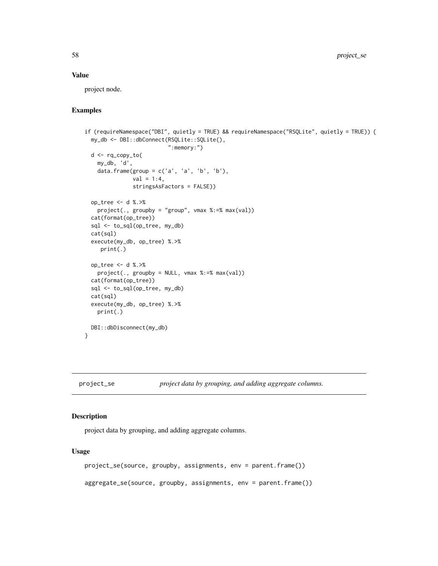### Value

project node.

# Examples

```
if (requireNamespace("DBI", quietly = TRUE) && requireNamespace("RSQLite", quietly = TRUE)) {
 my_db <- DBI::dbConnect(RSQLite::SQLite(),
                          ":memory:")
 d <- rq_copy_to(
   my_db, 'd',
   data.frame(group = c('a', 'a', 'b', 'b'),
              val = 1:4,stringsAsFactors = FALSE))
 op_tree <- d %.>%
   project(., groupby = "group", vmax %:=% max(val))
 cat(format(op_tree))
 sql <- to_sql(op_tree, my_db)
 cat(sql)
 execute(my_db, op_tree) %.>%
    print(.)
 op_tree <- d %.>%
   project(., groupby = NULL, vmax %:=% max(val))
 cat(format(op_tree))
 sql <- to_sql(op_tree, my_db)
 cat(sql)
 execute(my_db, op_tree) %.>%
   print(.)
 DBI::dbDisconnect(my_db)
}
```
project\_se *project data by grouping, and adding aggregate columns.*

## Description

project data by grouping, and adding aggregate columns.

### Usage

```
project_se(source, groupby, assignments, env = parent.frame())
aggregate_se(source, groupby, assignments, env = parent.frame())
```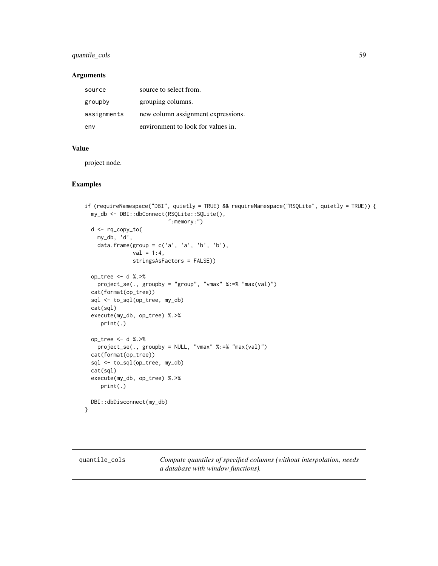# quantile\_cols 59

#### Arguments

| source      | source to select from.             |
|-------------|------------------------------------|
| groupby     | grouping columns.                  |
| assignments | new column assignment expressions. |
| env         | environment to look for values in. |

#### Value

project node.

# Examples

```
if (requireNamespace("DBI", quietly = TRUE) && requireNamespace("RSQLite", quietly = TRUE)) {
 my_db <- DBI::dbConnect(RSQLite::SQLite(),
                          ":memory:")
 d <- rq_copy_to(
   my_db, 'd',
   data.frame(group = c('a', 'a', 'b', 'b'),
              val = 1:4,
              stringsAsFactors = FALSE))
 op_tree <- d %.>%
   project_se(., groupby = "group", "vmax" %:=% "max(val)")
 cat(format(op_tree))
 sql <- to_sql(op_tree, my_db)
 cat(sql)
 execute(my_db, op_tree) %.>%
    print(.)
 op_tree <- d %.>%
   project_se(., groupby = NULL, "vmax" %:=% "max(val)")
 cat(format(op_tree))
 sql <- to_sql(op_tree, my_db)
 cat(sql)
 execute(my_db, op_tree) %.>%
    print(.)
 DBI::dbDisconnect(my_db)
}
```
<span id="page-58-0"></span>quantile\_cols *Compute quantiles of specified columns (without interpolation, needs a database with window functions).*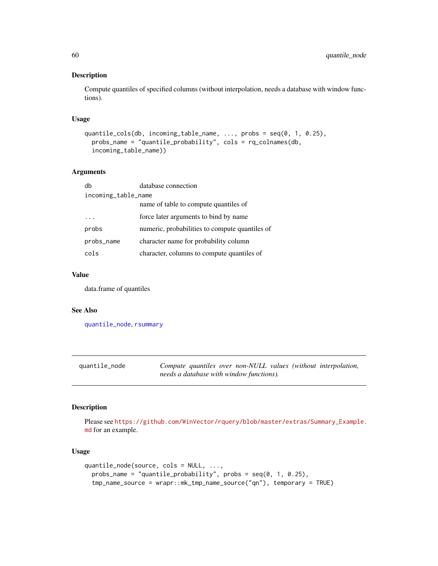Compute quantiles of specified columns (without interpolation, needs a database with window functions).

## Usage

```
quantile_cols(db, incoming_table_name, ..., probs = seq(0, 1, 0.25),
 probs_name = "quantile_probability", cols = rq_colnames(db,
 incoming_table_name))
```
### Arguments

| db                  | database connection                            |  |  |  |  |
|---------------------|------------------------------------------------|--|--|--|--|
| incoming_table_name |                                                |  |  |  |  |
|                     | name of table to compute quantiles of          |  |  |  |  |
|                     | force later arguments to bind by name          |  |  |  |  |
| probs               | numeric, probabilities to compute quantiles of |  |  |  |  |
| probs_name          | character name for probability column          |  |  |  |  |
| cols                | character, columns to compute quantiles of     |  |  |  |  |

# Value

data.frame of quantiles

### See Also

[quantile\\_node](#page-59-0), [rsummary](#page-76-0)

<span id="page-59-0"></span>

| quantile_node |                                          |  |  | Compute quantiles over non-NULL values (without interpolation, |
|---------------|------------------------------------------|--|--|----------------------------------------------------------------|
|               | needs a database with window functions). |  |  |                                                                |

### Description

Please see [https://github.com/WinVector/rquery/blob/master/extras/Summary\\_Example.](https://github.com/WinVector/rquery/blob/master/extras/Summary_Example.md) [md](https://github.com/WinVector/rquery/blob/master/extras/Summary_Example.md) for an example.

### Usage

```
quantile_node(source, cols = NULL, ...,
 probs_name = "quantile_probability", probs = seq(0, 1, 0.25),
  tmp_name_source = wrapr::mk_tmp_name_source("qn"), temporary = TRUE)
```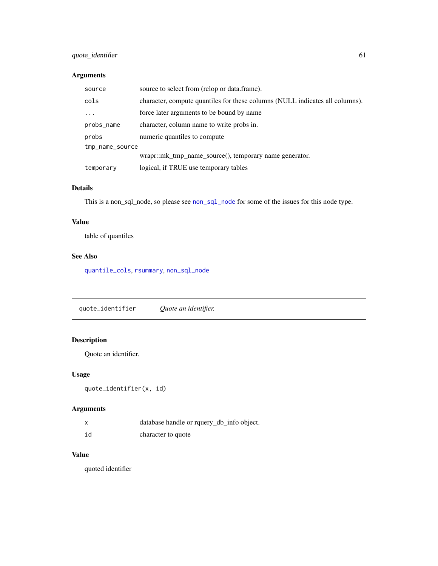# quote\_identifier 61

# Arguments

| source          | source to select from (relop or data.frame).                                 |  |
|-----------------|------------------------------------------------------------------------------|--|
| cols            | character, compute quantiles for these columns (NULL indicates all columns). |  |
|                 | force later arguments to be bound by name                                    |  |
| probs_name      | character, column name to write probs in.                                    |  |
| probs           | numeric quantiles to compute                                                 |  |
| tmp_name_source |                                                                              |  |
|                 | wrapr::mk_tmp_name_source(), temporary name generator.                       |  |
| temporary       | logical, if TRUE use temporary tables                                        |  |

# Details

This is a [non\\_sql\\_node](#page-47-0), so please see non\_sql\_node for some of the issues for this node type.

### Value

table of quantiles

## See Also

[quantile\\_cols](#page-58-0), [rsummary](#page-76-0), [non\\_sql\\_node](#page-47-0)

quote\_identifier *Quote an identifier.*

# Description

Quote an identifier.

## Usage

```
quote_identifier(x, id)
```
# Arguments

| X  | database handle or rquery_db_info object. |
|----|-------------------------------------------|
| id | character to quote                        |

## Value

quoted identifier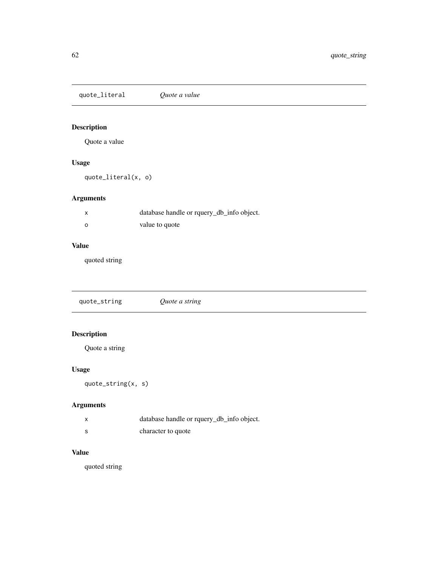quote\_literal *Quote a value*

# Description

Quote a value

# Usage

quote\_literal(x, o)

# Arguments

|   | database handle or rquery_db_info object. |
|---|-------------------------------------------|
| ο | value to quote                            |

# Value

quoted string

quote\_string *Quote a string*

# Description

Quote a string

# Usage

quote\_string(x, s)

# Arguments

|    | database handle or rquery_db_info object. |
|----|-------------------------------------------|
| -S | character to quote                        |

# Value

quoted string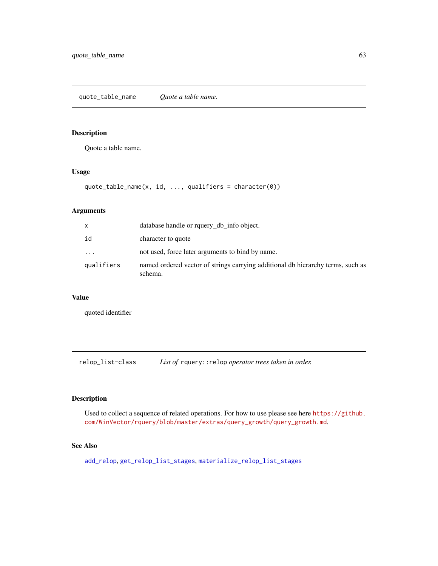Quote a table name.

### Usage

```
quote_table_name(x, id, ..., qualifiers = character(0))
```
# Arguments

| x                       | database handle or rquery_db_info object.                                                  |
|-------------------------|--------------------------------------------------------------------------------------------|
| id                      | character to quote                                                                         |
| $\cdot$ $\cdot$ $\cdot$ | not used, force later arguments to bind by name.                                           |
| qualifiers              | named ordered vector of strings carrying additional db hierarchy terms, such as<br>schema. |

# Value

quoted identifier

relop\_list-class *List of* rquery::relop *operator trees taken in order.*

# Description

Used to collect a sequence of related operations. For how to use please see here [https://github.](https://github.com/WinVector/rquery/blob/master/extras/query_growth/query_growth.md) [com/WinVector/rquery/blob/master/extras/query\\_growth/query\\_growth.md](https://github.com/WinVector/rquery/blob/master/extras/query_growth/query_growth.md).

# See Also

[add\\_relop](#page-4-0), [get\\_relop\\_list\\_stages](#page-27-0), [materialize\\_relop\\_list\\_stages](#page-43-0)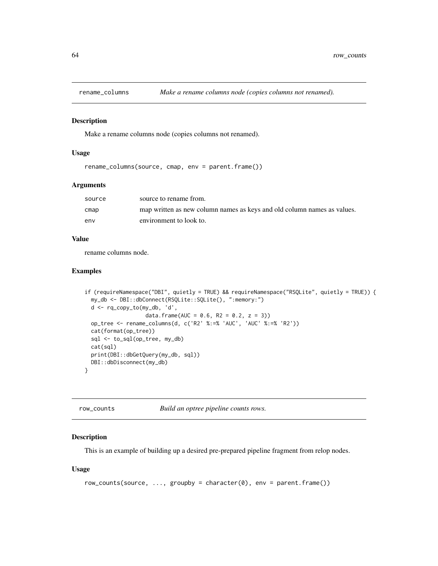Make a rename columns node (copies columns not renamed).

# Usage

rename\_columns(source, cmap, env = parent.frame())

## Arguments

| source | source to rename from.                                                  |
|--------|-------------------------------------------------------------------------|
| cmap   | map written as new column names as keys and old column names as values. |
| env    | environment to look to.                                                 |

#### Value

rename columns node.

### Examples

```
if (requireNamespace("DBI", quietly = TRUE) && requireNamespace("RSQLite", quietly = TRUE)) {
 my_db <- DBI::dbConnect(RSQLite::SQLite(), ":memory:")
 d <- rq_copy_to(my_db, 'd',
                   data.frame(AUC = 0.6, R2 = 0.2, z = 3))
 op_tree <- rename_columns(d, c('R2' %:=% 'AUC', 'AUC' %:=% 'R2'))
 cat(format(op_tree))
 sql <- to_sql(op_tree, my_db)
 cat(sql)
 print(DBI::dbGetQuery(my_db, sql))
 DBI::dbDisconnect(my_db)
}
```
row\_counts *Build an optree pipeline counts rows.*

### Description

This is an example of building up a desired pre-prepared pipeline fragment from relop nodes.

#### Usage

```
row_counts(source, ..., groupby = character(0), env = parent.frame())
```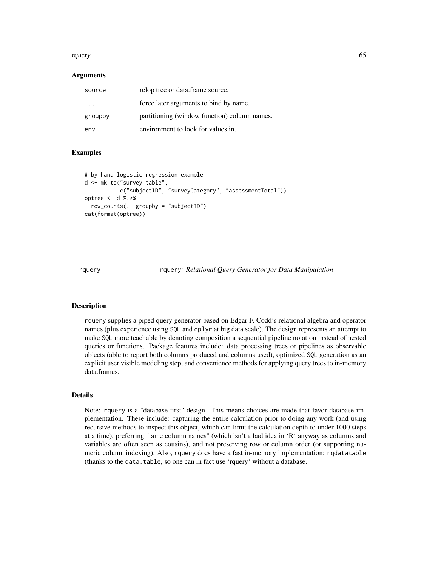#### rquery 65

#### Arguments

| source                  | relop tree or data.frame source.             |
|-------------------------|----------------------------------------------|
| $\cdot$ $\cdot$ $\cdot$ | force later arguments to bind by name.       |
| groupby                 | partitioning (window function) column names. |
| env                     | environment to look for values in.           |

### Examples

```
# by hand logistic regression example
d <- mk_td("survey_table",
          c("subjectID", "surveyCategory", "assessmentTotal"))
optree <- d %.>%
 row_counts(., groupby = "subjectID")
cat(format(optree))
```
rquery rquery*: Relational Query Generator for Data Manipulation*

## Description

rquery supplies a piped query generator based on Edgar F. Codd's relational algebra and operator names (plus experience using SQL and dplyr at big data scale). The design represents an attempt to make SQL more teachable by denoting composition a sequential pipeline notation instead of nested queries or functions. Package features include: data processing trees or pipelines as observable objects (able to report both columns produced and columns used), optimized SQL generation as an explicit user visible modeling step, and convenience methods for applying query trees to in-memory data.frames.

## Details

Note: rquery is a "database first" design. This means choices are made that favor database implementation. These include: capturing the entire calculation prior to doing any work (and using recursive methods to inspect this object, which can limit the calculation depth to under 1000 steps at a time), preferring "tame column names" (which isn't a bad idea in 'R' anyway as columns and variables are often seen as cousins), and not preserving row or column order (or supporting numeric column indexing). Also, rquery does have a fast in-memory implementation: rqdatatable (thanks to the data.table, so one can in fact use 'rquery' without a database.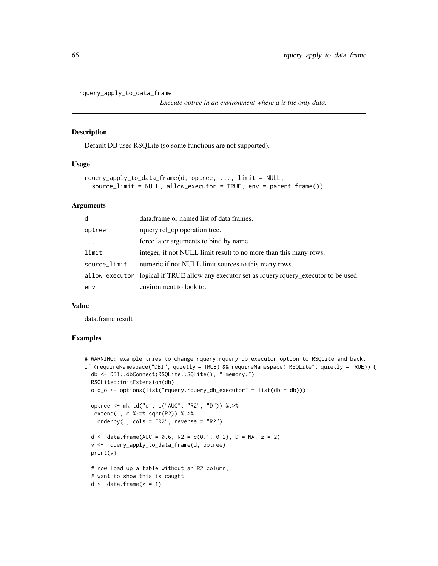```
rquery_apply_to_data_frame
```
*Execute optree in an environment where d is the only data.*

#### Description

Default DB uses RSQLite (so some functions are not supported).

# Usage

```
rquery_apply_to_data_frame(d, optree, ..., limit = NULL,
  source_limit = NULL, allow_executor = TRUE, env = parent.frame())
```
#### **Arguments**

| d            | data.frame or named list of data.frames.                                                      |
|--------------|-----------------------------------------------------------------------------------------------|
| optree       | rquery rel_op operation tree.                                                                 |
| $\cdots$     | force later arguments to bind by name.                                                        |
| limit        | integer, if not NULL limit result to no more than this many rows.                             |
| source_limit | numeric if not NULL limit sources to this many rows.                                          |
|              | allow_executor logical if TRUE allow any executor set as requery.requery_executor to be used. |
| env          | environment to look to.                                                                       |

### Value

data.frame result

```
# WARNING: example tries to change rquery.rquery_db_executor option to RSQLite and back.
if (requireNamespace("DBI", quietly = TRUE) && requireNamespace("RSQLite", quietly = TRUE)) {
 db <- DBI::dbConnect(RSQLite::SQLite(), ":memory:")
 RSQLite::initExtension(db)
 old_o <- options(list("rquery.rquery_db_executor" = list(db = db)))
 optree <- mk_td("d", c("AUC", "R2", "D")) %.>%
  extend(., c %:=% sqrt(R2)) %.>%
   orderby(., \text{cols} = \text{"R2"}, reverse = "R2")
 d <- data.frame(AUC = 0.6, R2 = c(0.1, 0.2), D = NA, z = 2)
 v <- rquery_apply_to_data_frame(d, optree)
 print(v)
 # now load up a table without an R2 column,
 # want to show this is caught
 d \leq - data.frame(z = 1)
```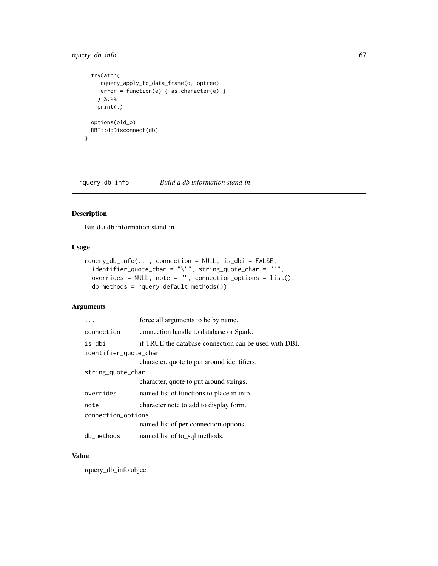# rquery\_db\_info 67

```
tryCatch(
    rquery_apply_to_data_frame(d, optree),
    error = function(e) { as.character(e) }
   ) %.>%
   print(.)
 options(old_o)
 DBI::dbDisconnect(db)
}
```
rquery\_db\_info *Build a db information stand-in*

# Description

Build a db information stand-in

# Usage

```
rquery_db_info(..., connection = NULL, is_dbi = FALSE,
  identifier_quote_char = "\"", string_quote_char = "'",
  overrides = NULL, note = "", connection_options = list(),
  db_methods = rquery_default_methods())
```
# Arguments

|                       | force all arguments to be by name.                    |  |
|-----------------------|-------------------------------------------------------|--|
| connection            | connection handle to database or Spark.               |  |
| is_dbi                | if TRUE the database connection can be used with DBI. |  |
| identifier_quote_char |                                                       |  |
|                       | character, quote to put around identifiers.           |  |
| string_quote_char     |                                                       |  |
|                       | character, quote to put around strings.               |  |
| overrides             | named list of functions to place in info.             |  |
| note                  | character note to add to display form.                |  |
| connection_options    |                                                       |  |
|                       | named list of per-connection options.                 |  |
| db_methods            | named list of to_sql methods.                         |  |

# Value

rquery\_db\_info object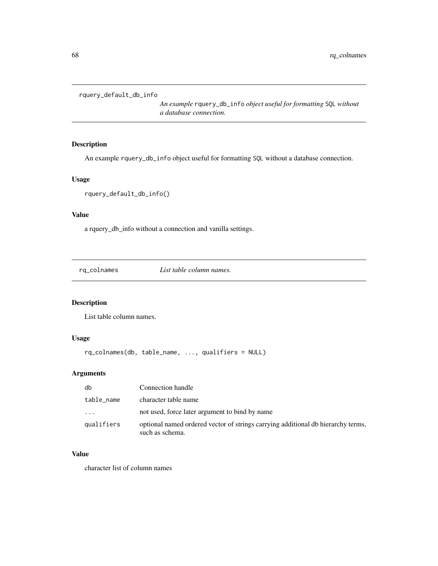```
rquery_default_db_info
```
*An example* rquery\_db\_info *object useful for formatting* SQL *without a database connection.*

# Description

An example rquery\_db\_info object useful for formatting SQL without a database connection.

# Usage

```
rquery_default_db_info()
```
# Value

a rquery\_db\_info without a connection and vanilla settings.

rq\_colnames *List table column names.*

# Description

List table column names.

# Usage

```
rq_colnames(db, table_name, ..., qualifiers = NULL)
```
# Arguments

| db         | Connection handle                                                                                   |
|------------|-----------------------------------------------------------------------------------------------------|
| table_name | character table name                                                                                |
| $\cdots$   | not used, force later argument to bind by name                                                      |
| qualifiers | optional named ordered vector of strings carrying additional db hierarchy terms,<br>such as schema. |

# Value

character list of column names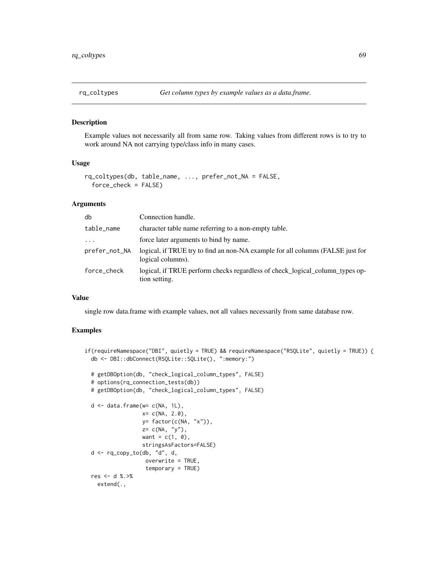Example values not necessarily all from same row. Taking values from different rows is to try to work around NA not carrying type/class info in many cases.

#### Usage

```
rq_coltypes(db, table_name, ..., prefer_not_NA = FALSE,
  force_check = FALSE)
```
### **Arguments**

| db            | Connection handle.                                                                                  |
|---------------|-----------------------------------------------------------------------------------------------------|
| table_name    | character table name referring to a non-empty table.                                                |
| $\ddotsc$     | force later arguments to bind by name.                                                              |
| prefer_not_NA | logical, if TRUE try to find an non-NA example for all columns (FALSE just for<br>logical columns). |
| force_check   | logical, if TRUE perform checks regardless of check_logical_column_types op-<br>tion setting.       |

#### Value

single row data.frame with example values, not all values necessarily from same database row.

```
if(requireNamespace("DBI", quietly = TRUE) && requireNamespace("RSQLite", quietly = TRUE)) {
 db <- DBI::dbConnect(RSQLite::SQLite(), ":memory:")
 # getDBOption(db, "check_logical_column_types", FALSE)
 # options(rq_connection_tests(db))
 # getDBOption(db, "check_logical_column_types", FALSE)
 d <- data.frame(w= c(NA, 1L),
                  x= c(NA, 2.0),
                  y= factor(c(NA, "x")),
                  z= c(NA, "y"),
                  want = c(1, 0),
                  stringsAsFactors=FALSE)
 d <- rq_copy_to(db, "d", d,
                  overwrite = TRUE,
                   temporary = TRUE)
 res <- d %.>%
   extend(.,
```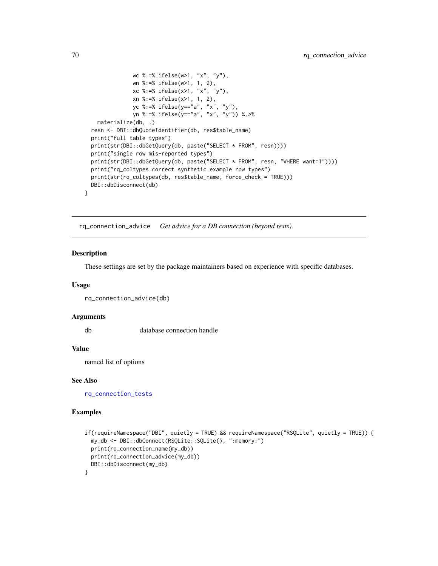```
wc %:=% ifelse(w>1, "x", "y"),
             wn %:=% ifelse(w>1, 1, 2),
             xc %:=% ifelse(x>1, "x", "y"),
             xn %:=% ifelse(x>1, 1, 2),
             yc %:=% ifelse(y=="a", "x", "y"),
             yn %:=% ifelse(y=="a", "x", "y")) %.>%
  materialize(db, .)
resn <- DBI::dbQuoteIdentifier(db, res$table_name)
print("full table types")
print(str(DBI::dbGetQuery(db, paste("SELECT * FROM", resn))))
print("single row mis-reported types")
print(str(DBI::dbGetQuery(db, paste("SELECT * FROM", resn, "WHERE want=1"))))
print("rq_coltypes correct synthetic example row types")
print(str(rq_coltypes(db, res$table_name, force_check = TRUE)))
DBI::dbDisconnect(db)
```
<span id="page-69-0"></span>rq\_connection\_advice *Get advice for a DB connection (beyond tests).*

#### Description

}

These settings are set by the package maintainers based on experience with specific databases.

#### Usage

```
rq_connection_advice(db)
```
#### Arguments

db database connection handle

#### Value

named list of options

#### See Also

[rq\\_connection\\_tests](#page-70-0)

```
if(requireNamespace("DBI", quietly = TRUE) && requireNamespace("RSQLite", quietly = TRUE)) {
 my_db <- DBI::dbConnect(RSQLite::SQLite(), ":memory:")
 print(rq_connection_name(my_db))
 print(rq_connection_advice(my_db))
 DBI::dbDisconnect(my_db)
}
```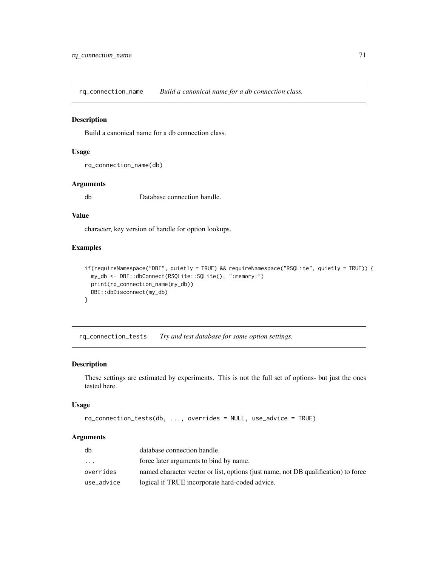rq\_connection\_name *Build a canonical name for a db connection class.*

#### Description

Build a canonical name for a db connection class.

### Usage

```
rq_connection_name(db)
```
#### Arguments

db Database connection handle.

### Value

character, key version of handle for option lookups.

# Examples

```
if(requireNamespace("DBI", quietly = TRUE) && requireNamespace("RSQLite", quietly = TRUE)) {
 my_db <- DBI::dbConnect(RSQLite::SQLite(), ":memory:")
 print(rq_connection_name(my_db))
 DBI::dbDisconnect(my_db)
}
```
<span id="page-70-0"></span>rq\_connection\_tests *Try and test database for some option settings.*

### Description

These settings are estimated by experiments. This is not the full set of options- but just the ones tested here.

### Usage

```
rq_connection_tests(db, ..., overrides = NULL, use_advice = TRUE)
```
# Arguments

| db         | database connection handle.                                                        |
|------------|------------------------------------------------------------------------------------|
| .          | force later arguments to bind by name.                                             |
| overrides  | named character vector or list, options (just name, not DB qualification) to force |
| use_advice | logical if TRUE incorporate hard-coded advice.                                     |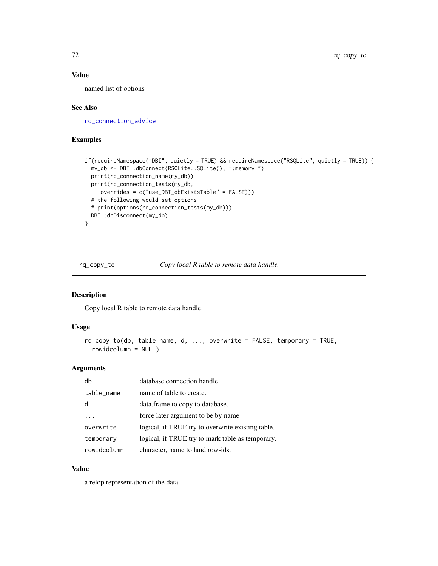# Value

named list of options

### See Also

[rq\\_connection\\_advice](#page-69-0)

## Examples

```
if(requireNamespace("DBI", quietly = TRUE) && requireNamespace("RSQLite", quietly = TRUE)) {
 my_db <- DBI::dbConnect(RSQLite::SQLite(), ":memory:")
 print(rq_connection_name(my_db))
 print(rq_connection_tests(my_db,
     overrides = c("use_DBI_dbExistsTable" = FALSE)))
 # the following would set options
 # print(options(rq_connection_tests(my_db)))
 DBI::dbDisconnect(my_db)
}
```
<span id="page-71-0"></span>rq\_copy\_to *Copy local R table to remote data handle.*

# Description

Copy local R table to remote data handle.

#### Usage

```
rq_copy_to(db, table_name, d, ..., overwrite = FALSE, temporary = TRUE,
 rowidcolumn = NULL)
```
### Arguments

| db          | database connection handle.                       |
|-------------|---------------------------------------------------|
| table_name  | name of table to create.                          |
|             | data. frame to copy to database.                  |
| .           | force later argument to be by name                |
| overwrite   | logical, if TRUE try to overwrite existing table. |
| temporary   | logical, if TRUE try to mark table as temporary.  |
| rowidcolumn | character, name to land row-ids.                  |

# Value

a relop representation of the data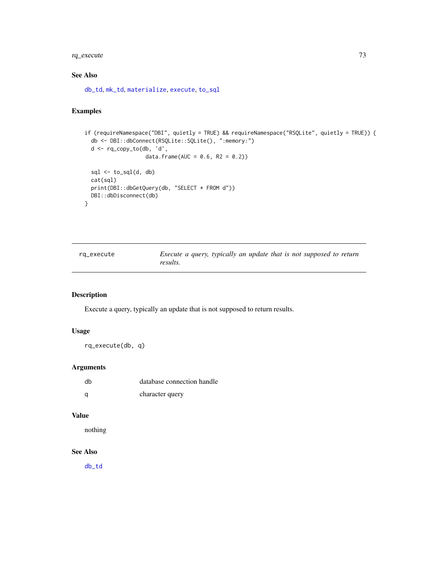# <span id="page-72-0"></span>rq\_execute 73

# See Also

[db\\_td](#page-18-0), [mk\\_td](#page-45-0), [materialize](#page-41-0), [execute](#page-22-0), [to\\_sql](#page-91-0)

# Examples

```
if (requireNamespace("DBI", quietly = TRUE) && requireNamespace("RSQLite", quietly = TRUE)) {
 db <- DBI::dbConnect(RSQLite::SQLite(), ":memory:")
 d <- rq_copy_to(db, 'd',
                   data.frame(AUC = 0.6, R2 = 0.2))
 sql \leftarrow to_sql(d, db)cat(sql)
 print(DBI::dbGetQuery(db, "SELECT * FROM d"))
 DBI::dbDisconnect(db)
}
```

| ~q_execute |  |
|------------|--|
|------------|--|

rq\_execute *Execute a query, typically an update that is not supposed to return results.*

# Description

Execute a query, typically an update that is not supposed to return results.

## Usage

rq\_execute(db, q)

## Arguments

| dh | database connection handle |
|----|----------------------------|
| O  | character query            |

#### Value

nothing

## See Also

[db\\_td](#page-18-0)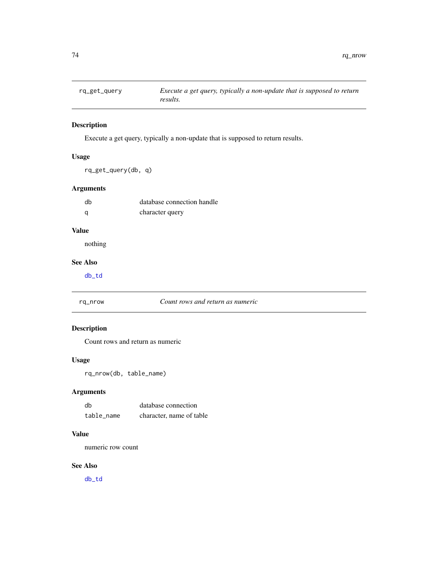<span id="page-73-0"></span>

# Description

Execute a get query, typically a non-update that is supposed to return results.

# Usage

rq\_get\_query(db, q)

# Arguments

| db | database connection handle |
|----|----------------------------|
| a  | character query            |

# Value

nothing

# See Also

[db\\_td](#page-18-0)

#### rq\_nrow *Count rows and return as numeric*

# Description

Count rows and return as numeric

# Usage

rq\_nrow(db, table\_name)

# Arguments

| db         | database connection      |
|------------|--------------------------|
| table name | character, name of table |

## Value

numeric row count

# See Also

[db\\_td](#page-18-0)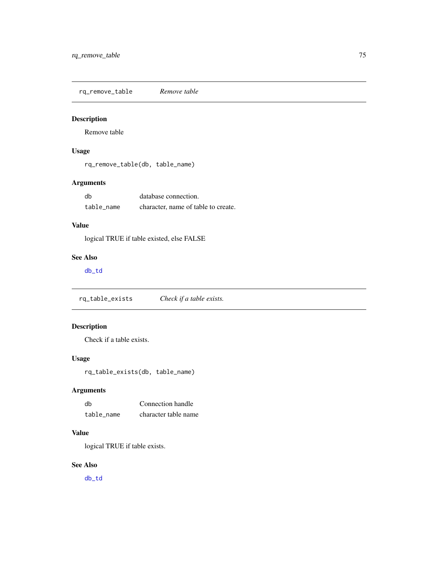<span id="page-74-0"></span>rq\_remove\_table *Remove table*

# Description

Remove table

# Usage

rq\_remove\_table(db, table\_name)

# Arguments

| db         | database connection.                |
|------------|-------------------------------------|
| table name | character, name of table to create. |

# Value

logical TRUE if table existed, else FALSE

# See Also

[db\\_td](#page-18-0)

rq\_table\_exists *Check if a table exists.*

# Description

Check if a table exists.

## Usage

rq\_table\_exists(db, table\_name)

# Arguments

| dh         | Connection handle    |
|------------|----------------------|
| table name | character table name |

# Value

logical TRUE if table exists.

# See Also

[db\\_td](#page-18-0)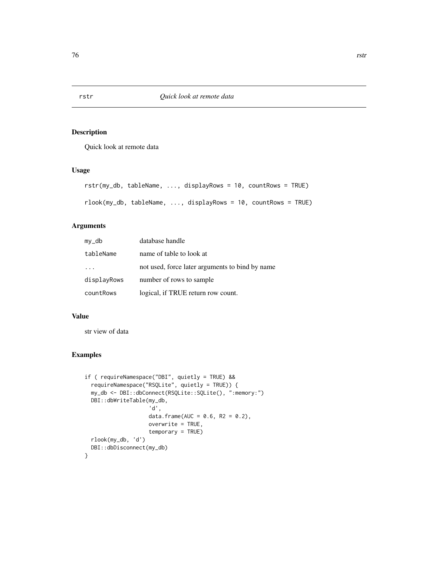# Description

Quick look at remote data

## Usage

```
rstr(my_db, tableName, ..., displayRows = 10, countRows = TRUE)
rlook(my_db, tableName, ..., displayRows = 10, countRows = TRUE)
```
## Arguments

| $my_d$      | database handle                                 |
|-------------|-------------------------------------------------|
| tableName   | name of table to look at                        |
|             | not used, force later arguments to bind by name |
| displayRows | number of rows to sample                        |
| countRows   | logical, if TRUE return row count.              |

#### Value

str view of data

```
if ( requireNamespace("DBI", quietly = TRUE) &&
  requireNamespace("RSQLite", quietly = TRUE)) {
 my_db <- DBI::dbConnect(RSQLite::SQLite(), ":memory:")
 DBI::dbWriteTable(my_db,
                    'd',
                    data.frame(AUC = 0.6, R2 = 0.2),
                    overwrite = TRUE,
                    temporary = TRUE)
 rlook(my_db, 'd')
 DBI::dbDisconnect(my_db)
}
```
<span id="page-75-0"></span>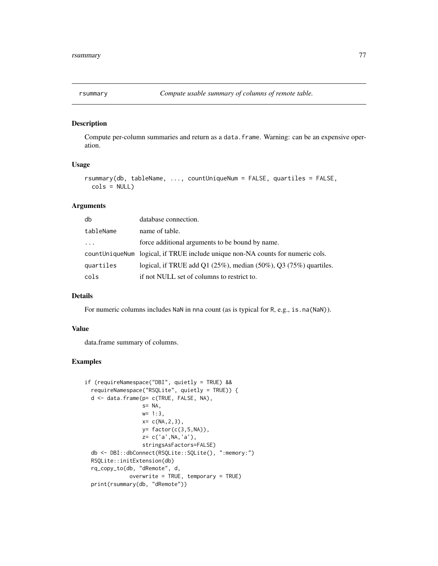<span id="page-76-0"></span>

#### Description

Compute per-column summaries and return as a data.frame. Warning: can be an expensive operation.

# Usage

```
rsummary(db, tableName, ..., countUniqueNum = FALSE, quartiles = FALSE,
 cols = NULL
```
# Arguments

| db        | database connection.                                                             |
|-----------|----------------------------------------------------------------------------------|
| tableName | name of table.                                                                   |
| $\cdot$   | force additional arguments to be bound by name.                                  |
|           | count Unique Num logical, if TRUE include unique non-NA counts for numeric cols. |
| quartiles | logical, if TRUE add Q1 $(25\%)$ , median $(50\%)$ , Q3 $(75\%)$ quartiles.      |
| cols      | if not NULL set of columns to restrict to.                                       |

#### Details

For numeric columns includes NaN in nna count (as is typical for R, e.g., is.na(NaN)).

#### Value

data.frame summary of columns.

```
if (requireNamespace("DBI", quietly = TRUE) &&
 requireNamespace("RSQLite", quietly = TRUE)) {
 d <- data.frame(p= c(TRUE, FALSE, NA),
                  s= NA,
                  w= 1:3,
                  x= c(NA, 2, 3),y= factor(c(3,5,NA)),
                  z= c('a',NA,'a'),
                  stringsAsFactors=FALSE)
 db <- DBI::dbConnect(RSQLite::SQLite(), ":memory:")
 RSQLite::initExtension(db)
 rq_copy_to(db, "dRemote", d,
             overwrite = TRUE, temporary = TRUE)
 print(rsummary(db, "dRemote"))
```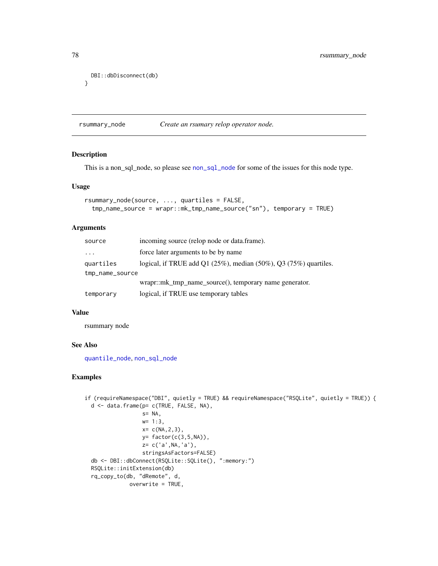```
DBI::dbDisconnect(db)
}
```
rsummary\_node *Create an rsumary relop operator node.*

# Description

This is a non\_sql\_node, so please see [non\\_sql\\_node](#page-47-0) for some of the issues for this node type.

#### Usage

```
rsummary_node(source, ..., quartiles = FALSE,
  tmp_name_source = wrapr::mk_tmp_name_source("sn"), temporary = TRUE)
```
# Arguments

| source          | incoming source (relop node or data.frame).                                 |  |
|-----------------|-----------------------------------------------------------------------------|--|
| $\cdots$        | force later arguments to be by name                                         |  |
| quartiles       | logical, if TRUE add Q1 $(25\%)$ , median $(50\%)$ , Q3 $(75\%)$ quartiles. |  |
| tmp_name_source |                                                                             |  |
|                 | wrapr::mk_tmp_name_source(), temporary name generator.                      |  |
| temporary       | logical, if TRUE use temporary tables                                       |  |

#### Value

rsummary node

#### See Also

[quantile\\_node](#page-59-0), [non\\_sql\\_node](#page-47-0)

```
if (requireNamespace("DBI", quietly = TRUE) && requireNamespace("RSQLite", quietly = TRUE)) {
 d <- data.frame(p= c(TRUE, FALSE, NA),
                 s= NA,
                  w= 1:3,
                  x = c(NA, 2, 3),
                  y= factor(c(3,5,NA)),z= c('a',NA,'a'),
                  stringsAsFactors=FALSE)
 db <- DBI::dbConnect(RSQLite::SQLite(), ":memory:")
 RSQLite::initExtension(db)
 rq_copy_to(db, "dRemote", d,
             overwrite = TRUE,
```
<span id="page-77-0"></span>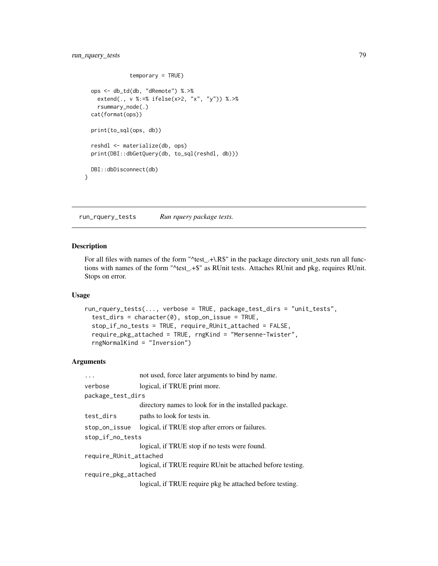```
temporary = TRUE)
 ops <- db_td(db, "dRemote") %.>%
   extend(., v %:=% ifelse(x>2, "x", "y")) %.>%
   rsummary_node(.)
 cat(format(ops))
 print(to_sql(ops, db))
 reshdl <- materialize(db, ops)
 print(DBI::dbGetQuery(db, to_sql(reshdl, db)))
 DBI::dbDisconnect(db)
}
```
run\_rquery\_tests *Run rquery package tests.*

# Description

For all files with names of the form "^test\_.+\.R\$" in the package directory unit\_tests run all functions with names of the form "^test\_.+\$" as RUnit tests. Attaches RUnit and pkg, requires RUnit. Stops on error.

# Usage

```
run_rquery_tests(..., verbose = TRUE, package_test_dirs = "unit_tests",
  test_dirs = character(0), stop_on_issue = TRUE,
  stop_if_no_tests = TRUE, require_RUnit_attached = FALSE,
  require_pkg_attached = TRUE, rngKind = "Mersenne-Twister",
  rngNormalKind = "Inversion")
```

| $\ddotsc$              | not used, force later arguments to bind by name.           |  |
|------------------------|------------------------------------------------------------|--|
| verbose                | logical, if TRUE print more.                               |  |
| package_test_dirs      |                                                            |  |
|                        | directory names to look for in the installed package.      |  |
| test_dirs              | paths to look for tests in.                                |  |
| stop_on_issue          | logical, if TRUE stop after errors or failures.            |  |
| stop_if_no_tests       |                                                            |  |
|                        | logical, if TRUE stop if no tests were found.              |  |
| require_RUnit_attached |                                                            |  |
|                        | logical, if TRUE require RUnit be attached before testing. |  |
| require_pkg_attached   |                                                            |  |
|                        | logical, if TRUE require pkg be attached before testing.   |  |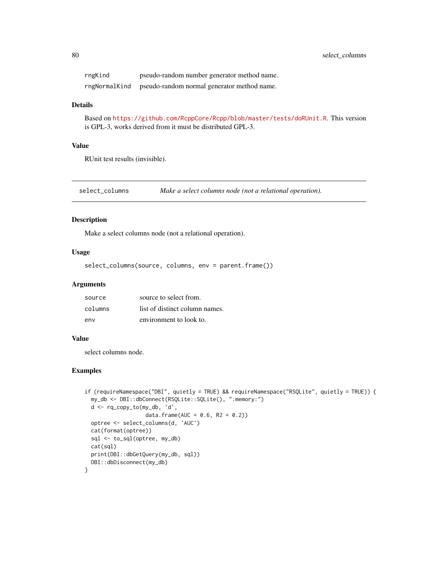<span id="page-79-0"></span>

| rngKind       | pseudo-random number generator method name. |
|---------------|---------------------------------------------|
| rngNormalKind | pseudo-random normal generator method name. |

## Details

Based on <https://github.com/RcppCore/Rcpp/blob/master/tests/doRUnit.R>. This version is GPL-3, works derived from it must be distributed GPL-3.

## Value

RUnit test results (invisible).

select\_columns *Make a select columns node (not a relational operation).*

# Description

Make a select columns node (not a relational operation).

#### Usage

```
select_columns(source, columns, env = parent.frame())
```
#### Arguments

| source  | source to select from.         |
|---------|--------------------------------|
| columns | list of distinct column names. |
| env     | environment to look to.        |

# Value

select columns node.

```
if (requireNamespace("DBI", quietly = TRUE) && requireNamespace("RSQLite", quietly = TRUE)) {
 my_db <- DBI::dbConnect(RSQLite::SQLite(), ":memory:")
 d <- rq_copy_to(my_db, 'd',
                  data.frame(AUC = 0.6, R2 = 0.2))
 optree <- select_columns(d, 'AUC')
 cat(format(optree))
 sql <- to_sql(optree, my_db)
 cat(sql)
 print(DBI::dbGetQuery(my_db, sql))
 DBI::dbDisconnect(my_db)
}
```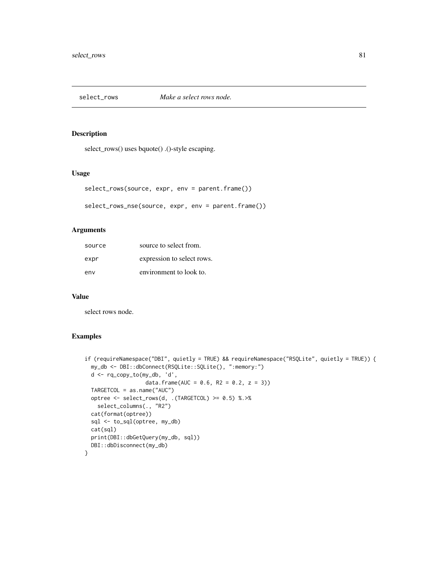<span id="page-80-0"></span>

# Description

select\_rows() uses bquote() .()-style escaping.

# Usage

```
select_rows(source, expr, env = parent.frame())
```

```
select_rows_nse(source, expr, env = parent.frame())
```
## Arguments

| source | source to select from.     |
|--------|----------------------------|
| expr   | expression to select rows. |
| env    | environment to look to.    |

## Value

select rows node.

```
if (requireNamespace("DBI", quietly = TRUE) && requireNamespace("RSQLite", quietly = TRUE)) {
 my_db <- DBI::dbConnect(RSQLite::SQLite(), ":memory:")
 d <- rq_copy_to(my_db, 'd',
                  data.frame(AUC = 0.6, R2 = 0.2, z = 3))
 TARGETCOL = as.name("AUC")
 optree <- select_rows(d, .(TARGETCOL) >= 0.5) %.>%
   select_columns(., "R2")
 cat(format(optree))
 sql <- to_sql(optree, my_db)
 cat(sql)
 print(DBI::dbGetQuery(my_db, sql))
 DBI::dbDisconnect(my_db)
}
```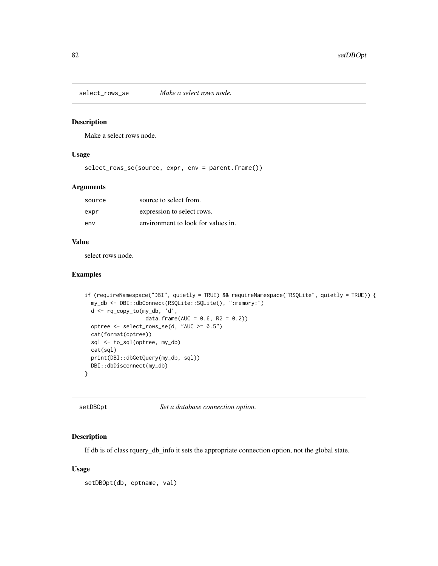<span id="page-81-1"></span>select\_rows\_se *Make a select rows node.*

# Description

Make a select rows node.

#### Usage

select\_rows\_se(source, expr, env = parent.frame())

## Arguments

| source | source to select from.             |
|--------|------------------------------------|
| expr   | expression to select rows.         |
| env    | environment to look for values in. |

## Value

select rows node.

# Examples

```
if (requireNamespace("DBI", quietly = TRUE) && requireNamespace("RSQLite", quietly = TRUE)) {
 my_db <- DBI::dbConnect(RSQLite::SQLite(), ":memory:")
 d <- rq_copy_to(my_db, 'd',
                  data.frame(AUC = 0.6, R2 = 0.2))
 optree <- select_rows_se(d, "AUC >= 0.5")
 cat(format(optree))
 sql <- to_sql(optree, my_db)
 cat(sql)
 print(DBI::dbGetQuery(my_db, sql))
 DBI::dbDisconnect(my_db)
}
```
<span id="page-81-0"></span>setDBOpt *Set a database connection option.*

# Description

If db is of class rquery\_db\_info it sets the appropriate connection option, not the global state.

#### Usage

setDBOpt(db, optname, val)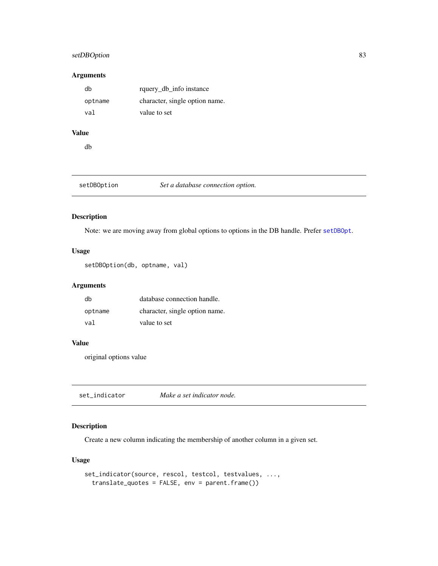# <span id="page-82-0"></span>setDBOption 83

## Arguments

| db      | rquery_db_info instance        |
|---------|--------------------------------|
| optname | character, single option name. |
| val     | value to set                   |

# Value

db

setDBOption *Set a database connection option.*

# Description

Note: we are moving away from global options to options in the DB handle. Prefer [setDBOpt](#page-81-0).

# Usage

```
setDBOption(db, optname, val)
```
# Arguments

| dh      | database connection handle.    |
|---------|--------------------------------|
| optname | character, single option name. |
| val     | value to set                   |

#### Value

original options value

set\_indicator *Make a set indicator node.*

# Description

Create a new column indicating the membership of another column in a given set.

# Usage

```
set_indicator(source, rescol, testcol, testvalues, ...,
 translate_quotes = FALSE, env = parent.frame())
```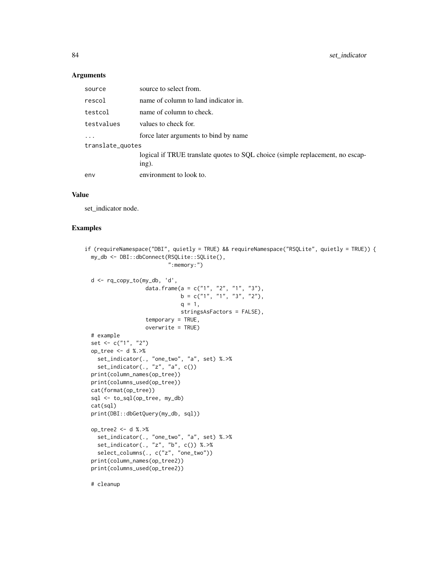## Arguments

| source           | source to select from.                                                                 |
|------------------|----------------------------------------------------------------------------------------|
| rescol           | name of column to land indicator in.                                                   |
| testcol          | name of column to check.                                                               |
| testvalues       | values to check for.                                                                   |
|                  | force later arguments to bind by name                                                  |
| translate_quotes |                                                                                        |
|                  | logical if TRUE translate quotes to SQL choice (simple replacement, no escap-<br>ing). |
| env              | environment to look to.                                                                |

#### Value

set\_indicator node.

### Examples

```
if (requireNamespace("DBI", quietly = TRUE) && requireNamespace("RSQLite", quietly = TRUE)) {
 my_db <- DBI::dbConnect(RSQLite::SQLite(),
                          ":memory:")
 d <- rq_copy_to(my_db, 'd',
                   data.frame(a = c("1", "2", "1", "3"),
                              b = c("1", "1", "3", "2"),q = 1,
                              stringsAsFactors = FALSE),
                  temporary = TRUE,
                  overwrite = TRUE)
 # example
 set <- c("1", "2")
 op_tree <- d %.>%
   set_indicator(., "one_two", "a", set) %.>%
   set_indicator(., "z", "a", c())
 print(column_names(op_tree))
 print(columns_used(op_tree))
 cat(format(op_tree))
 sql <- to_sql(op_tree, my_db)
 cat(sql)
 print(DBI::dbGetQuery(my_db, sql))
 op_tree2 <- d %.>%
   set_indicator(., "one_two", "a", set) %.>%
   set_indicator(., "z", "b", c()) %.>%
   select_columns(., c("z", "one_two"))
 print(column_names(op_tree2))
 print(columns_used(op_tree2))
```
# cleanup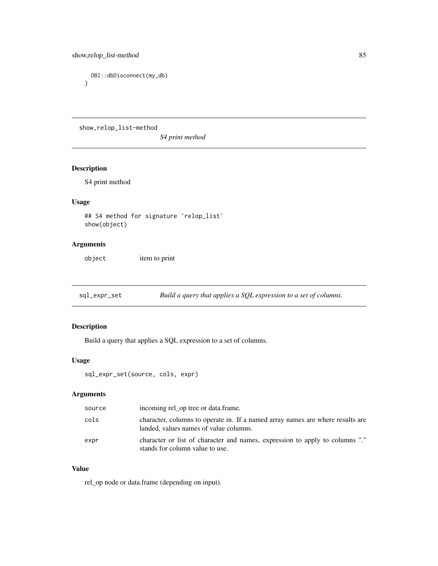```
DBI::dbDisconnect(my_db)
}
```
show,relop\_list-method

*S4 print method*

# Description

S4 print method

# Usage

## S4 method for signature 'relop\_list' show(object)

# Arguments

object item to print

sql\_expr\_set *Build a query that applies a SQL expression to a set of columns.*

# Description

Build a query that applies a SQL expression to a set of columns.

## Usage

```
sql_expr_set(source, cols, expr)
```
# Arguments

| source | incoming rel_op tree or data.frame.                                                                                      |
|--------|--------------------------------------------------------------------------------------------------------------------------|
| cols   | character, columns to operate in. If a named array names are where results are<br>landed, values names of value columns. |
| expr   | character or list of character and names, expression to apply to columns "."<br>stands for column value to use.          |

# Value

rel\_op node or data.frame (depending on input).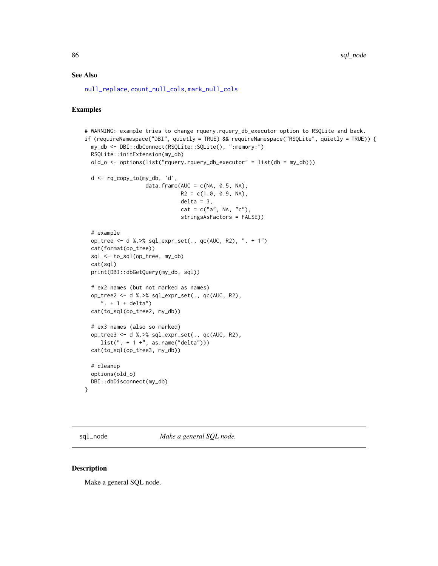# <span id="page-85-0"></span>See Also

[null\\_replace](#page-50-0), [count\\_null\\_cols](#page-17-0), [mark\\_null\\_cols](#page-40-0)

# Examples

```
# WARNING: example tries to change rquery.rquery_db_executor option to RSQLite and back.
if (requireNamespace("DBI", quietly = TRUE) && requireNamespace("RSQLite", quietly = TRUE)) {
 my_db <- DBI::dbConnect(RSQLite::SQLite(), ":memory:")
 RSQLite::initExtension(my_db)
 old_o <- options(list("rquery.rquery_db_executor" = list(db = my_db)))
 d <- rq_copy_to(my_db, 'd',
                   data.frame(AUC = c(NA, 0.5, NA),
                             R2 = c(1.0, 0.9, NA),
                             delta = 3,
                              cat = c("a", NA, "c"),stringsAsFactors = FALSE))
 # example
 op_tree <- d %.>% sql_expr_set(., qc(AUC, R2), ". + 1")
 cat(format(op_tree))
 sql <- to_sql(op_tree, my_db)
 cat(sql)
 print(DBI::dbGetQuery(my_db, sql))
 # ex2 names (but not marked as names)
 op_tree2 <- d %.>% sql_expr_set(., qc(AUC, R2),
     ". + 1 + delta")cat(to_sql(op_tree2, my_db))
 # ex3 names (also so marked)
 op_tree3 <- d %.>% sql_expr_set(., qc(AUC, R2),
     list(" + 1 +", as.name("delta"))cat(to_sql(op_tree3, my_db))
 # cleanup
 options(old_o)
 DBI::dbDisconnect(my_db)
}
```
sql\_node *Make a general SQL node.*

# Description

Make a general SQL node.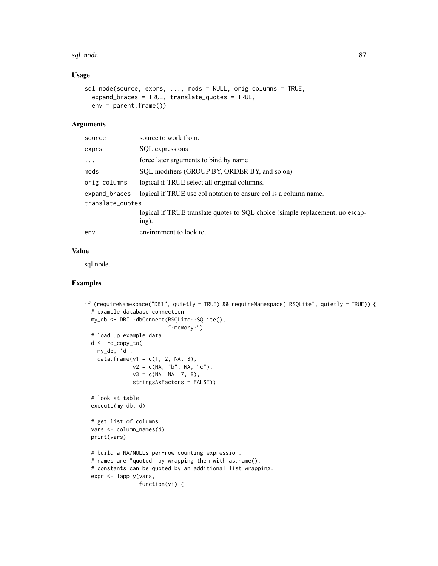#### sql\_node 87

# Usage

```
sql_node(source, exprs, ..., mods = NULL, orig_columns = TRUE,
 expand_braces = TRUE, translate_quotes = TRUE,
 env = parent.frame())
```
## Arguments

| source           | source to work from.                                                                   |
|------------------|----------------------------------------------------------------------------------------|
| exprs            | SQL expressions                                                                        |
| $\cdots$         | force later arguments to bind by name                                                  |
| mods             | SQL modifiers (GROUP BY, ORDER BY, and so on)                                          |
| orig_columns     | logical if TRUE select all original columns.                                           |
| expand_braces    | logical if TRUE use col notation to ensure col is a column name.                       |
| translate_quotes |                                                                                        |
|                  | logical if TRUE translate quotes to SQL choice (simple replacement, no escap-<br>ing). |
| env              | environment to look to.                                                                |

# Value

sql node.

```
if (requireNamespace("DBI", quietly = TRUE) && requireNamespace("RSQLite", quietly = TRUE)) {
 # example database connection
 my_db <- DBI::dbConnect(RSQLite::SQLite(),
                          ":memory:")
 # load up example data
 d <- rq_copy_to(
   my_db, 'd',
   data.frame(v1 = c(1, 2, NA, 3),
              v2 = c(NA, "b", NA, "c"),v3 = c(NA, NA, 7, 8),stringsAsFactors = FALSE))
 # look at table
 execute(my_db, d)
 # get list of columns
 vars <- column_names(d)
 print(vars)
 # build a NA/NULLs per-row counting expression.
 # names are "quoted" by wrapping them with as.name().
 # constants can be quoted by an additional list wrapping.
 expr <- lapply(vars,
                 function(vi) {
```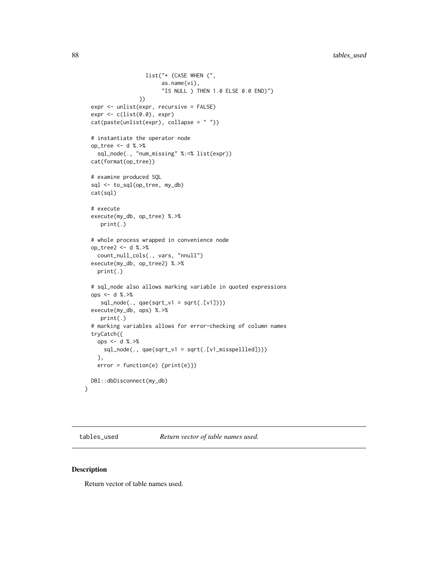```
list("+ (CASE WHEN (",
                        as.name(vi),
                        "IS NULL ) THEN 1.0 ELSE 0.0 END)")
                 })
 expr <- unlist(expr, recursive = FALSE)
 expr < c(list(0.0), expr)cat(paste(unlist(expr), collapse = " "))
 # instantiate the operator node
 op_tree <- d %.>%
    sql_node(., "num_missing" %:=% list(expr))
 cat(format(op_tree))
 # examine produced SQL
 sql <- to_sql(op_tree, my_db)
 cat(sql)
 # execute
 execute(my_db, op_tree) %.>%
    print(.)
 # whole process wrapped in convenience node
 op_tree2 <- d %.>%
   count_null_cols(., vars, "nnull")
 execute(my_db, op_tree2) %.>%
   print(.)
 # sql_node also allows marking variable in quoted expressions
 ops <- d %.>%
     sql_node(., qae(sqrt_v1 = sqrt(.[v1])))
 execute(my_db, ops) %.>%
    print(.)
 # marking variables allows for error-checking of column names
 tryCatch({
   ops <- d %.>%
     sql_node(., qae(sqrt_v1 = sqrt(.[v1_misspellled])))
   },
   error = function(e) {print(e)})
 DBI::dbDisconnect(my_db)
}
```
tables\_used *Return vector of table names used.*

## Description

Return vector of table names used.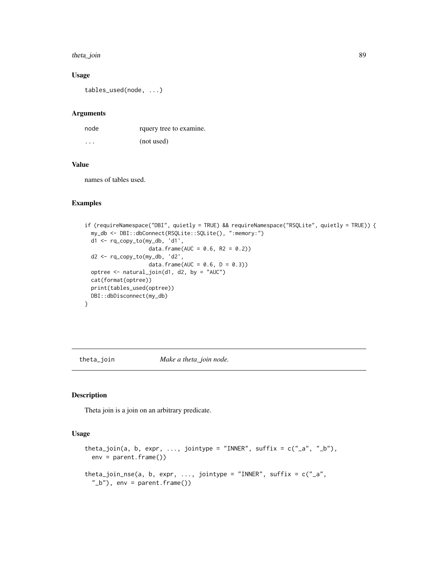#### <span id="page-88-0"></span>theta\_join 89

# Usage

tables\_used(node, ...)

## Arguments

| node     | rquery tree to examine. |
|----------|-------------------------|
| $\cdots$ | (not used)              |

# Value

names of tables used.

#### Examples

```
if (requireNamespace("DBI", quietly = TRUE) && requireNamespace("RSQLite", quietly = TRUE)) {
 my_db <- DBI::dbConnect(RSQLite::SQLite(), ":memory:")
 d1 <- rq_copy_to(my_db, 'd1',
                    data.frame(AUC = 0.6, R2 = 0.2))
 d2 <- rq_copy_to(my_db, 'd2',
                    data.frame(AUC = 0.6, D = 0.3))
 optree <- natural_join(d1, d2, by = "AUC")
 cat(format(optree))
 print(tables_used(optree))
 DBI::dbDisconnect(my_db)
}
```
theta\_join *Make a theta\_join node.*

## Description

Theta join is a join on an arbitrary predicate.

#### Usage

```
theta_join(a, b, expr, ..., jointype = "INNER", suffix = c("a", "b"),
 env = parent.frame())
theta_join_nse(a, b, expr, ..., jointype = "INNER", suffix = c("a","_b"), env = parent.frame())
```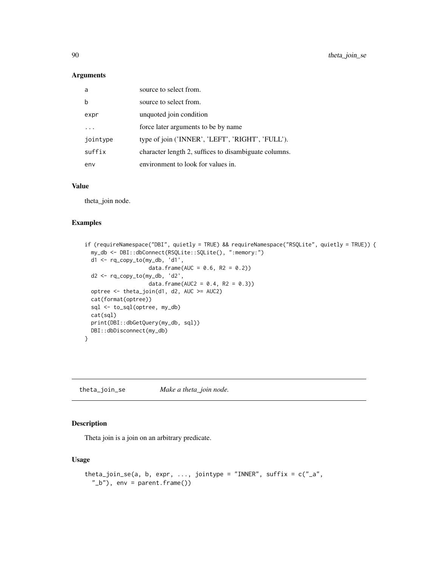<span id="page-89-0"></span>90 theta\_join\_se

## Arguments

| a        | source to select from.                                |
|----------|-------------------------------------------------------|
| b        | source to select from.                                |
| expr     | unquoted join condition                               |
|          | force later arguments to be by name                   |
| jointype | type of join ('INNER', 'LEFT', 'RIGHT', 'FULL').      |
| suffix   | character length 2, suffices to disambiguate columns. |
| env      | environment to look for values in.                    |

## Value

theta\_join node.

## Examples

```
if (requireNamespace("DBI", quietly = TRUE) && requireNamespace("RSQLite", quietly = TRUE)) {
 my_db <- DBI::dbConnect(RSQLite::SQLite(), ":memory:")
 d1 <- rq_copy_to(my_db, 'd1',
                    data.frame(AUC = 0.6, R2 = 0.2))
 d2 <- rq_copy_to(my_db, 'd2',
                    data.frame(AUC2 = 0.4, R2 = 0.3))
 optree <- theta_join(d1, d2, AUC >= AUC2)
 cat(format(optree))
 sql <- to_sql(optree, my_db)
 cat(sql)
 print(DBI::dbGetQuery(my_db, sql))
 DBI::dbDisconnect(my_db)
}
```
theta\_join\_se *Make a theta\_join node.*

# Description

Theta join is a join on an arbitrary predicate.

# Usage

```
theta_join_se(a, b, expr, ..., jointype = "INNER", suffix = c("a","_b"), env = parent.frame())
```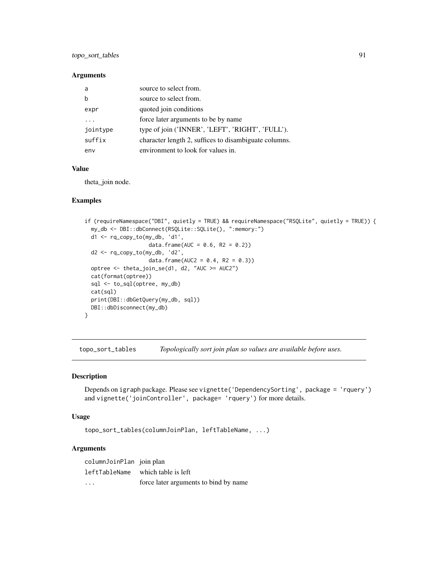## <span id="page-90-0"></span>Arguments

| a        | source to select from.                                |
|----------|-------------------------------------------------------|
|          | source to select from.                                |
| expr     | quoted join conditions                                |
|          | force later arguments to be by name                   |
| jointype | type of join ('INNER', 'LEFT', 'RIGHT', 'FULL').      |
| suffix   | character length 2, suffices to disambiguate columns. |
| env      | environment to look for values in.                    |

# Value

theta\_join node.

# Examples

```
if (requireNamespace("DBI", quietly = TRUE) && requireNamespace("RSQLite", quietly = TRUE)) {
 my_db <- DBI::dbConnect(RSQLite::SQLite(), ":memory:")
 d1 <- rq_copy_to(my_db, 'd1',
                    data.frame(AUC = 0.6, R2 = 0.2))
 d2 <- rq_copy_to(my_db, 'd2',
                    data.frame(AUC2 = 0.4, R2 = 0.3))
 optree <- theta_join_se(d1, d2, "AUC >= AUC2")
 cat(format(optree))
 sql <- to_sql(optree, my_db)
 cat(sql)
 print(DBI::dbGetQuery(my_db, sql))
 DBI::dbDisconnect(my_db)
}
```
topo\_sort\_tables *Topologically sort join plan so values are available before uses.*

## Description

Depends on igraph package. Please see vignette('DependencySorting', package = 'rquery') and vignette('joinController', package= 'rquery') for more details.

#### Usage

topo\_sort\_tables(columnJoinPlan, leftTableName, ...)

| columnJoinPlan join plan |                                       |
|--------------------------|---------------------------------------|
|                          | leftTableName which table is left     |
| $\cdots$                 | force later arguments to bind by name |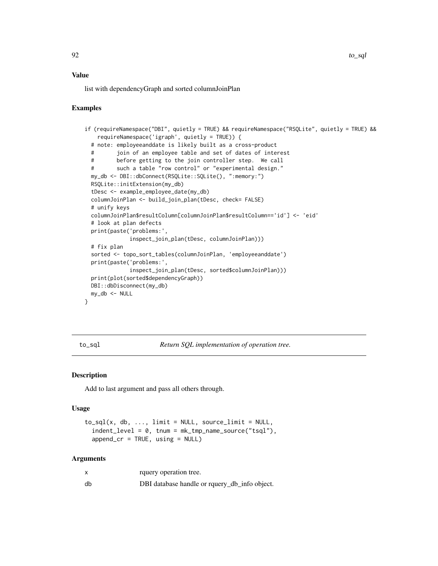## <span id="page-91-1"></span>Value

list with dependencyGraph and sorted columnJoinPlan

## Examples

```
if (requireNamespace("DBI", quietly = TRUE) && requireNamespace("RSQLite", quietly = TRUE) &&
   requireNamespace('igraph', quietly = TRUE)) {
 # note: employeeanddate is likely built as a cross-product
 # join of an employee table and set of dates of interest
 # before getting to the join controller step. We call
 # such a table "row control" or "experimental design."
 my_db <- DBI::dbConnect(RSQLite::SQLite(), ":memory:")
 RSQLite::initExtension(my_db)
 tDesc <- example_employee_date(my_db)
 columnJoinPlan <- build_join_plan(tDesc, check= FALSE)
 # unify keys
 columnJoinPlan$resultColumn[columnJoinPlan$resultColumn=='id'] <- 'eid'
 # look at plan defects
 print(paste('problems:',
             inspect_join_plan(tDesc, columnJoinPlan)))
 # fix plan
 sorted <- topo_sort_tables(columnJoinPlan, 'employeeanddate')
 print(paste('problems:',
             inspect_join_plan(tDesc, sorted$columnJoinPlan)))
 print(plot(sorted$dependencyGraph))
 DBI::dbDisconnect(my_db)
 my_db <- NULL
}
```
<span id="page-91-0"></span>to\_sql *Return SQL implementation of operation tree.*

#### Description

Add to last argument and pass all others through.

#### Usage

```
to_sql(x, db, ..., limit = NULL, source_limit = NULL,indent_level = 0, tnum = mk_tmp_name_source("tsql"),
  append\_cr = TRUE, using = NULL)
```

|    | rquery operation tree.                        |
|----|-----------------------------------------------|
| db | DBI database handle or rquery_db_info object. |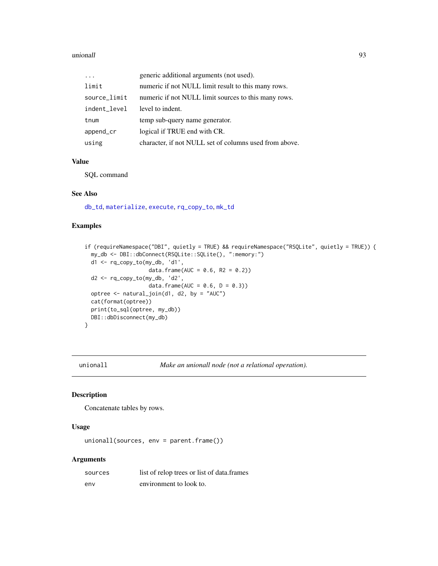#### <span id="page-92-0"></span>unionall and the contract of the contract of the contract of the contract of the contract of the contract of the contract of the contract of the contract of the contract of the contract of the contract of the contract of t

|              | generic additional arguments (not used).               |
|--------------|--------------------------------------------------------|
| limit        | numeric if not NULL limit result to this many rows.    |
| source_limit | numeric if not NULL limit sources to this many rows.   |
| indent_level | level to indent.                                       |
| tnum         | temp sub-query name generator.                         |
| append_cr    | logical if TRUE end with CR.                           |
| using        | character, if not NULL set of columns used from above. |

# Value

SQL command

# See Also

[db\\_td](#page-18-0), [materialize](#page-41-0), [execute](#page-22-0), [rq\\_copy\\_to](#page-71-0), [mk\\_td](#page-45-0)

## Examples

```
if (requireNamespace("DBI", quietly = TRUE) && requireNamespace("RSQLite", quietly = TRUE)) {
 my_db <- DBI::dbConnect(RSQLite::SQLite(), ":memory:")
 d1 <- rq_copy_to(my_db, 'd1',
                    data.frame(AUC = 0.6, R2 = 0.2))
 d2 <- rq_copy_to(my_db, 'd2',
                    data.frame(AUC = 0.6, D = 0.3))
 optree <- natural_join(d1, d2, by = "AUC")
 cat(format(optree))
 print(to_sql(optree, my_db))
 DBI::dbDisconnect(my_db)
}
```
unionall *Make an unionall node (not a relational operation).*

# Description

Concatenate tables by rows.

# Usage

```
unionall(sources, env = parent.frame())
```

| sources | list of relop trees or list of data.frames |
|---------|--------------------------------------------|
| env     | environment to look to.                    |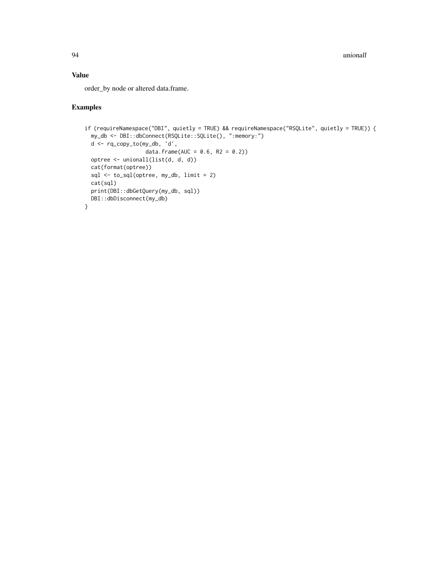94 unionall

# Value

order\_by node or altered data.frame.

```
if (requireNamespace("DBI", quietly = TRUE) && requireNamespace("RSQLite", quietly = TRUE)) {
  my_db <- DBI::dbConnect(RSQLite::SQLite(), ":memory:")
  d <- rq_copy_to(my_db, 'd',
                  data.frame(AUC = 0.6, R2 = 0.2))
  optree <- unionall(list(d, d, d))
  cat(format(optree))
  sql <- to_sql(optree, my_db, limit = 2)
  cat(sql)
  print(DBI::dbGetQuery(my_db, sql))
 DBI::dbDisconnect(my_db)
}
```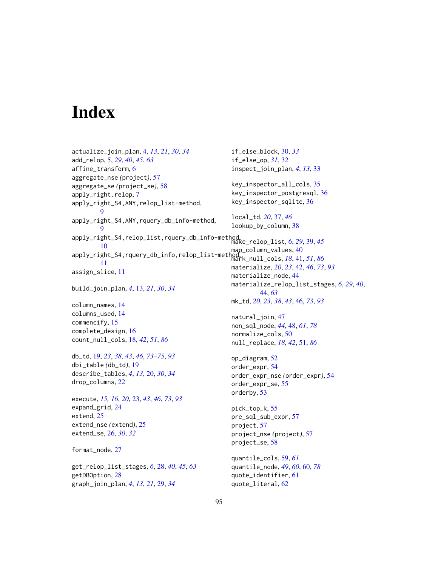# **Index**

actualize\_join\_plan, [4,](#page-3-0) *[13](#page-12-0)*, *[21](#page-20-0)*, *[30](#page-29-0)*, *[34](#page-33-0)* add\_relop, [5,](#page-4-0) *[29](#page-28-0)*, *[40](#page-39-0)*, *[45](#page-44-0)*, *[63](#page-62-0)* affine\_transform, [6](#page-5-0) aggregate\_nse *(*project*)*, [57](#page-56-0) aggregate\_se *(*project\_se*)*, [58](#page-57-0) apply\_right.relop, [7](#page-6-0) apply\_right\_S4,ANY,relop\_list-method, **[9](#page-8-0)** apply\_right\_S4,ANY,rquery\_db\_info-method, [9](#page-8-0) apply\_right\_S4,relop\_list,rquery\_db\_info-method, make\_relop\_list, *[6](#page-5-0)*, *[29](#page-28-0)*, [39,](#page-38-0) *[45](#page-44-0)* [10](#page-9-0) map\_column\_values, [40](#page-39-0)<br>apply\_right\_S4,rquery\_db\_info,relop\_list-method,...ull\_colo\_18\_41 [11](#page-10-0) assign\_slice, [11](#page-10-0) build\_join\_plan, *[4](#page-3-0)*, [13,](#page-12-0) *[21](#page-20-0)*, *[30](#page-29-0)*, *[34](#page-33-0)* column\_names, [14](#page-13-0) columns\_used, [14](#page-13-0) commencify, [15](#page-14-0) complete\_design, [16](#page-15-0) count\_null\_cols, [18,](#page-17-1) *[42](#page-41-1)*, *[51](#page-50-1)*, *[86](#page-85-0)* db\_td, [19,](#page-18-1) *[23](#page-22-1)*, *[38](#page-37-0)*, *[43](#page-42-0)*, *[46](#page-45-1)*, *[73–](#page-72-0)[75](#page-74-0)*, *[93](#page-92-0)* dbi\_table *(*db\_td*)*, [19](#page-18-1) describe\_tables, *[4](#page-3-0)*, *[13](#page-12-0)*, [20,](#page-19-0) *[30](#page-29-0)*, *[34](#page-33-0)* drop\_columns, [22](#page-21-0) execute, *[15,](#page-14-0) [16](#page-15-0)*, *[20](#page-19-0)*, [23,](#page-22-1) *[43](#page-42-0)*, *[46](#page-45-1)*, *[73](#page-72-0)*, *[93](#page-92-0)* expand\_grid, [24](#page-23-0) extend, [25](#page-24-0) extend\_nse *(*extend*)*, [25](#page-24-0) extend\_se, [26,](#page-25-0) *[30](#page-29-0)*, *[32](#page-31-0)* format\_node, [27](#page-26-0) get\_relop\_list\_stages, *[6](#page-5-0)*, [28,](#page-27-0) *[40](#page-39-0)*, *[45](#page-44-0)*, *[63](#page-62-0)* getDBOption, [28](#page-27-0) graph\_join\_plan, *[4](#page-3-0)*, *[13](#page-12-0)*, *[21](#page-20-0)*, [29,](#page-28-0) *[34](#page-33-0)* if\_else\_block, [30,](#page-29-0) *[33](#page-32-0)* if\_else\_op, *[31](#page-30-0)*, [32](#page-31-0) inspect\_join\_plan, *[4](#page-3-0)*, *[13](#page-12-0)*, [33](#page-32-0) key\_inspector\_all\_cols, [35](#page-34-0) key\_inspector\_postgresql, [36](#page-35-0) key\_inspector\_sqlite, [36](#page-35-0) local\_td, *[20](#page-19-0)*, [37,](#page-36-0) *[46](#page-45-1)* lookup\_by\_column, [38](#page-37-0) mark\_null\_cols, *[18](#page-17-1)*, [41,](#page-40-1) *[51](#page-50-1)*, *[86](#page-85-0)* materialize, *[20](#page-19-0)*, *[23](#page-22-1)*, [42,](#page-41-1) *[46](#page-45-1)*, *[73](#page-72-0)*, *[93](#page-92-0)* materialize\_node, [44](#page-43-0) materialize\_relop\_list\_stages, *[6](#page-5-0)*, *[29](#page-28-0)*, *[40](#page-39-0)*, [44,](#page-43-0) *[63](#page-62-0)* mk\_td, *[20](#page-19-0)*, *[23](#page-22-1)*, *[38](#page-37-0)*, *[43](#page-42-0)*, [46,](#page-45-1) *[73](#page-72-0)*, *[93](#page-92-0)* natural\_join, [47](#page-46-0) non\_sql\_node, *[44](#page-43-0)*, [48,](#page-47-1) *[61](#page-60-0)*, *[78](#page-77-0)* normalize\_cols, [50](#page-49-0) null\_replace, *[18](#page-17-1)*, *[42](#page-41-1)*, [51,](#page-50-1) *[86](#page-85-0)* op\_diagram, [52](#page-51-0) order\_expr, [54](#page-53-0) order\_expr\_nse *(*order\_expr*)*, [54](#page-53-0) order\_expr\_se, [55](#page-54-0) orderby, [53](#page-52-0) pick\_top\_k, [55](#page-54-0) pre\_sql\_sub\_expr, [57](#page-56-0) project, [57](#page-56-0) project\_nse *(*project*)*, [57](#page-56-0) project\_se, [58](#page-57-0) quantile\_cols, [59,](#page-58-0) *[61](#page-60-0)* quantile\_node, *[49](#page-48-0)*, *[60](#page-59-1)*, [60,](#page-59-1) *[78](#page-77-0)* quote\_identifier, [61](#page-60-0) quote\_literal, [62](#page-61-0)